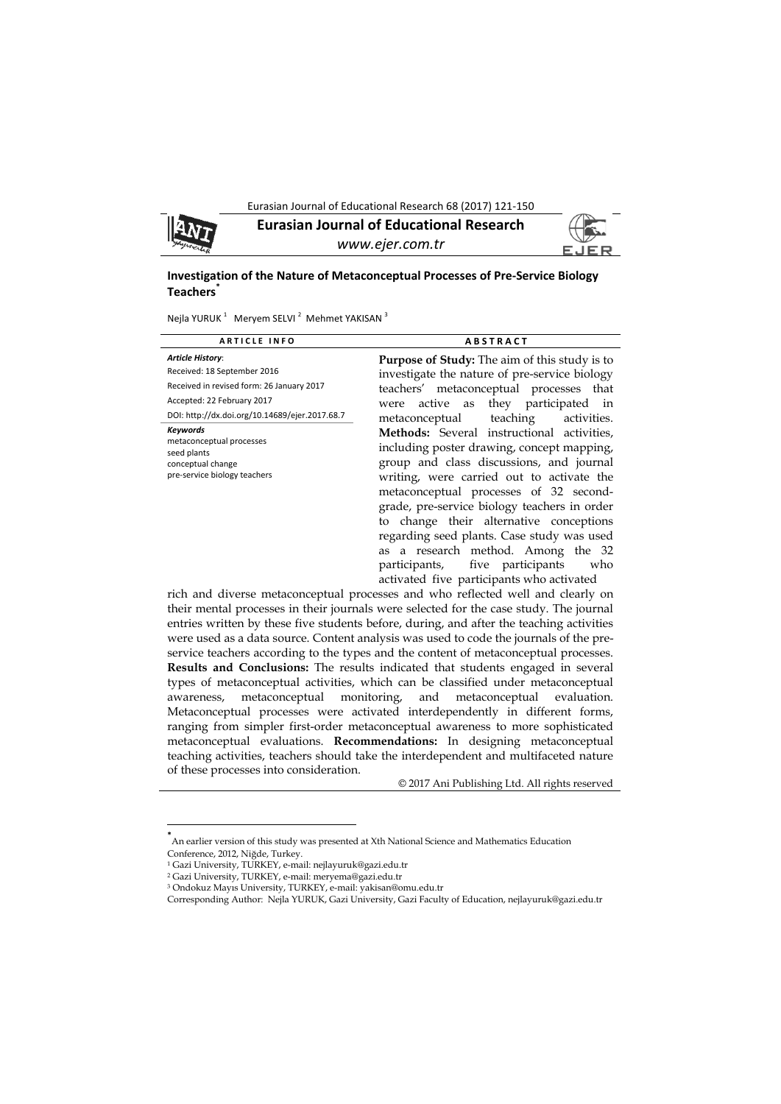



**Eurasian Journal of Educational Research**  *www.ejer.com.tr* 



# **Investigation of the Nature of Metaconceptual Processes of Pre‐Service Biology Teachers\***

Nejla YURUK <sup>1</sup> Meryem SELVI <sup>2</sup> Mehmet YAKISAN <sup>3</sup>

| <b>ARTICLE INFO</b>                                                                                                                                                                 | <b>ABSTRACT</b>                                                                                                                                                                                                                                                                                                                                                                                                                                                                                      |
|-------------------------------------------------------------------------------------------------------------------------------------------------------------------------------------|------------------------------------------------------------------------------------------------------------------------------------------------------------------------------------------------------------------------------------------------------------------------------------------------------------------------------------------------------------------------------------------------------------------------------------------------------------------------------------------------------|
| <b>Article History:</b><br>Received: 18 September 2016<br>Received in revised form: 26 January 2017<br>Accepted: 22 February 2017<br>DOI: http://dx.doi.org/10.14689/ejer.2017.68.7 | <b>Purpose of Study:</b> The aim of this study is to<br>investigate the nature of pre-service biology<br>teachers' metaconceptual processes that<br>active as they participated in<br>were<br>metaconceptual teaching<br>activities.                                                                                                                                                                                                                                                                 |
| <b>Keywords</b><br>metaconceptual processes<br>seed plants<br>conceptual change<br>pre-service biology teachers                                                                     | Methods: Several instructional activities,<br>including poster drawing, concept mapping,<br>group and class discussions, and journal<br>writing, were carried out to activate the<br>metaconceptual processes of 32 second-<br>grade, pre-service biology teachers in order<br>to change their alternative conceptions<br>regarding seed plants. Case study was used<br>as a research method. Among the 32<br>five participants<br>who<br>participants,<br>activated five participants who activated |

rich and diverse metaconceptual processes and who reflected well and clearly on their mental processes in their journals were selected for the case study. The journal entries written by these five students before, during, and after the teaching activities were used as a data source. Content analysis was used to code the journals of the preservice teachers according to the types and the content of metaconceptual processes. **Results and Conclusions:** The results indicated that students engaged in several types of metaconceptual activities, which can be classified under metaconceptual awareness, metaconceptual monitoring, and metaconceptual evaluation. Metaconceptual processes were activated interdependently in different forms, ranging from simpler first-order metaconceptual awareness to more sophisticated metaconceptual evaluations. **Recommendations:** In designing metaconceptual teaching activities, teachers should take the interdependent and multifaceted nature of these processes into consideration.

© 2017 Ani Publishing Ltd. All rights reserved

 $\overline{\phantom{a}}$ 

**<sup>\*</sup>** An earlier version of this study was presented at Xth National Science and Mathematics Education Conference, 2012, Niğde, Turkey.

<sup>1</sup> Gazi University, TURKEY, e-mail: nejlayuruk@gazi.edu.tr

<sup>2</sup> Gazi University, TURKEY, e-mail: meryema@gazi.edu.tr

<sup>3</sup> Ondokuz Mayıs University, TURKEY, e-mail: yakisan@omu.edu.tr

Corresponding Author: Nejla YURUK, Gazi University, Gazi Faculty of Education, nejlayuruk@gazi.edu.tr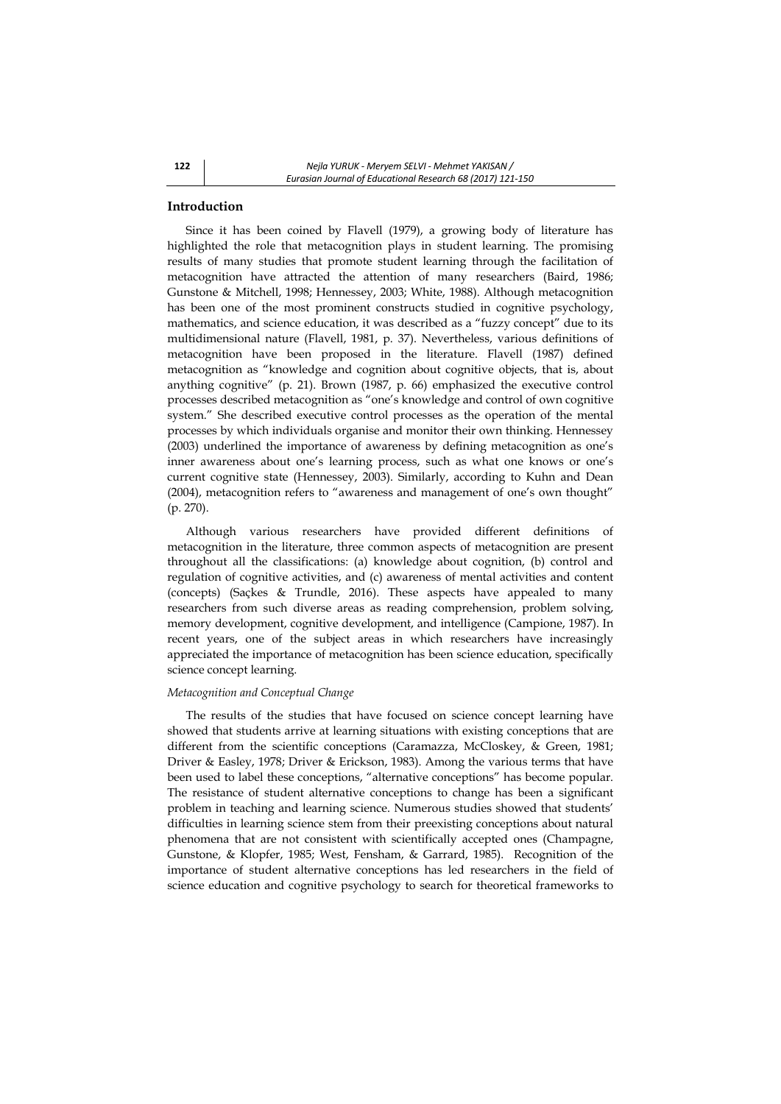# **Introduction**

Since it has been coined by Flavell (1979), a growing body of literature has highlighted the role that metacognition plays in student learning. The promising results of many studies that promote student learning through the facilitation of metacognition have attracted the attention of many researchers (Baird, 1986; Gunstone & Mitchell, 1998; Hennessey, 2003; White, 1988). Although metacognition has been one of the most prominent constructs studied in cognitive psychology, mathematics, and science education, it was described as a "fuzzy concept" due to its multidimensional nature (Flavell, 1981, p. 37). Nevertheless, various definitions of metacognition have been proposed in the literature. Flavell (1987) defined metacognition as "knowledge and cognition about cognitive objects, that is, about anything cognitive" (p. 21). Brown (1987, p. 66) emphasized the executive control processes described metacognition as "one's knowledge and control of own cognitive system." She described executive control processes as the operation of the mental processes by which individuals organise and monitor their own thinking. Hennessey (2003) underlined the importance of awareness by defining metacognition as one's inner awareness about one's learning process, such as what one knows or one's current cognitive state (Hennessey, 2003). Similarly, according to Kuhn and Dean (2004), metacognition refers to "awareness and management of one's own thought" (p. 270).

Although various researchers have provided different definitions of metacognition in the literature, three common aspects of metacognition are present throughout all the classifications: (a) knowledge about cognition, (b) control and regulation of cognitive activities, and (c) awareness of mental activities and content (concepts) (Saçkes & Trundle, 2016). These aspects have appealed to many researchers from such diverse areas as reading comprehension, problem solving, memory development, cognitive development, and intelligence (Campione, 1987). In recent years, one of the subject areas in which researchers have increasingly appreciated the importance of metacognition has been science education, specifically science concept learning.

#### *Metacognition and Conceptual Change*

The results of the studies that have focused on science concept learning have showed that students arrive at learning situations with existing conceptions that are different from the scientific conceptions (Caramazza, McCloskey, & Green, 1981; Driver & Easley, 1978; Driver & Erickson, 1983). Among the various terms that have been used to label these conceptions, "alternative conceptions" has become popular. The resistance of student alternative conceptions to change has been a significant problem in teaching and learning science. Numerous studies showed that students' difficulties in learning science stem from their preexisting conceptions about natural phenomena that are not consistent with scientifically accepted ones (Champagne, Gunstone, & Klopfer, 1985; West, Fensham, & Garrard, 1985). Recognition of the importance of student alternative conceptions has led researchers in the field of science education and cognitive psychology to search for theoretical frameworks to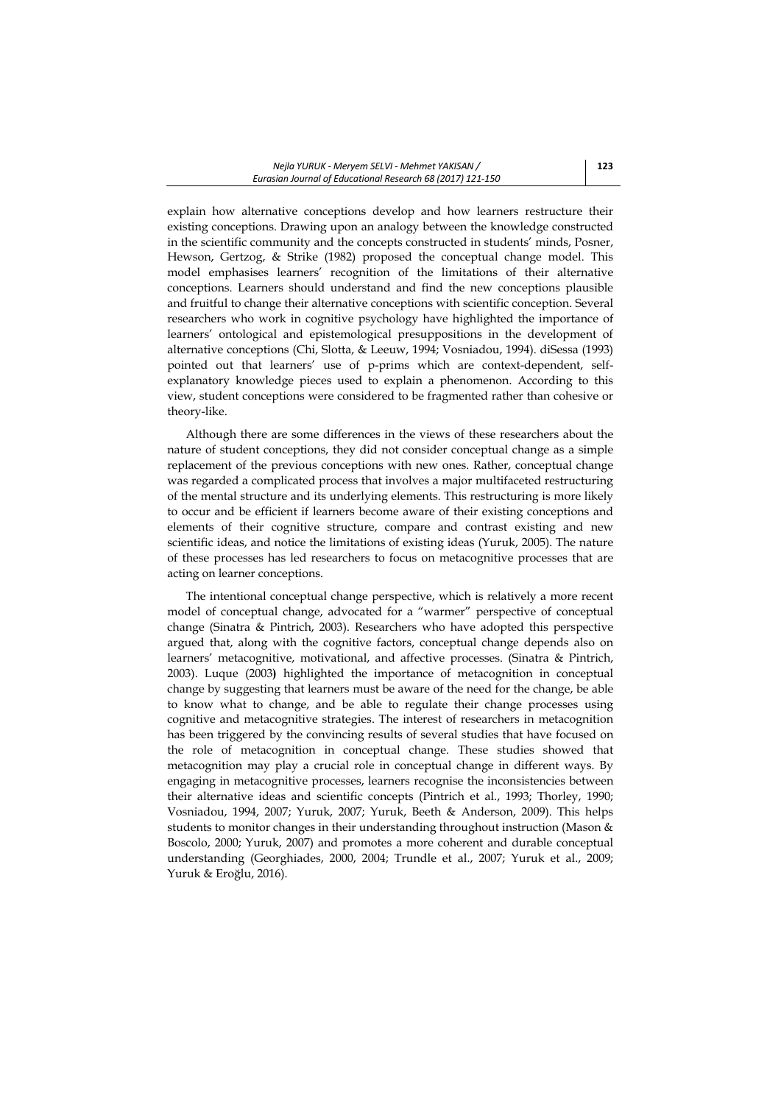explain how alternative conceptions develop and how learners restructure their existing conceptions. Drawing upon an analogy between the knowledge constructed in the scientific community and the concepts constructed in students' minds, Posner, Hewson, Gertzog, & Strike (1982) proposed the conceptual change model. This model emphasises learners' recognition of the limitations of their alternative conceptions. Learners should understand and find the new conceptions plausible and fruitful to change their alternative conceptions with scientific conception. Several researchers who work in cognitive psychology have highlighted the importance of learners' ontological and epistemological presuppositions in the development of alternative conceptions (Chi, Slotta, & Leeuw, 1994; Vosniadou, 1994). diSessa (1993) pointed out that learners' use of p-prims which are context-dependent, selfexplanatory knowledge pieces used to explain a phenomenon. According to this view, student conceptions were considered to be fragmented rather than cohesive or theory-like.

Although there are some differences in the views of these researchers about the nature of student conceptions, they did not consider conceptual change as a simple replacement of the previous conceptions with new ones. Rather, conceptual change was regarded a complicated process that involves a major multifaceted restructuring of the mental structure and its underlying elements. This restructuring is more likely to occur and be efficient if learners become aware of their existing conceptions and elements of their cognitive structure, compare and contrast existing and new scientific ideas, and notice the limitations of existing ideas (Yuruk, 2005). The nature of these processes has led researchers to focus on metacognitive processes that are acting on learner conceptions.

The intentional conceptual change perspective, which is relatively a more recent model of conceptual change, advocated for a "warmer" perspective of conceptual change (Sinatra & Pintrich, 2003). Researchers who have adopted this perspective argued that, along with the cognitive factors, conceptual change depends also on learners' metacognitive, motivational, and affective processes. (Sinatra & Pintrich, 2003). Luque (2003**)** highlighted the importance of metacognition in conceptual change by suggesting that learners must be aware of the need for the change, be able to know what to change, and be able to regulate their change processes using cognitive and metacognitive strategies. The interest of researchers in metacognition has been triggered by the convincing results of several studies that have focused on the role of metacognition in conceptual change. These studies showed that metacognition may play a crucial role in conceptual change in different ways. By engaging in metacognitive processes, learners recognise the inconsistencies between their alternative ideas and scientific concepts (Pintrich et al., 1993; Thorley, 1990; Vosniadou, 1994, 2007; Yuruk, 2007; Yuruk, Beeth & Anderson, 2009). This helps students to monitor changes in their understanding throughout instruction (Mason & Boscolo, 2000; Yuruk, 2007) and promotes a more coherent and durable conceptual understanding (Georghiades, 2000, 2004; Trundle et al., 2007; Yuruk et al., 2009; Yuruk & Eroğlu, 2016).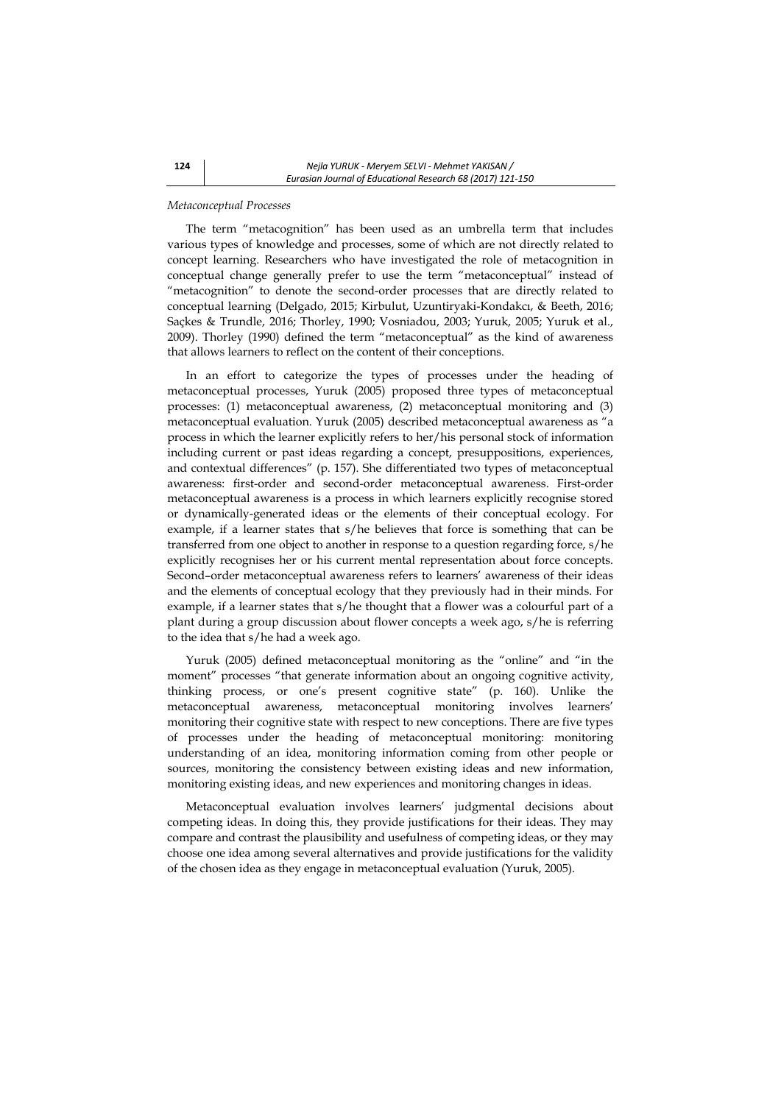### *Metaconceptual Processes*

The term "metacognition" has been used as an umbrella term that includes various types of knowledge and processes, some of which are not directly related to concept learning. Researchers who have investigated the role of metacognition in conceptual change generally prefer to use the term "metaconceptual" instead of "metacognition" to denote the second-order processes that are directly related to conceptual learning (Delgado, 2015; Kirbulut, Uzuntiryaki-Kondakcı, & Beeth, 2016; Saçkes & Trundle, 2016; Thorley, 1990; Vosniadou, 2003; Yuruk, 2005; Yuruk et al., 2009). Thorley (1990) defined the term "metaconceptual" as the kind of awareness that allows learners to reflect on the content of their conceptions.

In an effort to categorize the types of processes under the heading of metaconceptual processes, Yuruk (2005) proposed three types of metaconceptual processes: (1) metaconceptual awareness, (2) metaconceptual monitoring and (3) metaconceptual evaluation. Yuruk (2005) described metaconceptual awareness as "a process in which the learner explicitly refers to her/his personal stock of information including current or past ideas regarding a concept, presuppositions, experiences, and contextual differences" (p. 157). She differentiated two types of metaconceptual awareness: first-order and second-order metaconceptual awareness. First-order metaconceptual awareness is a process in which learners explicitly recognise stored or dynamically-generated ideas or the elements of their conceptual ecology. For example, if a learner states that s/he believes that force is something that can be transferred from one object to another in response to a question regarding force, s/he explicitly recognises her or his current mental representation about force concepts. Second–order metaconceptual awareness refers to learners' awareness of their ideas and the elements of conceptual ecology that they previously had in their minds. For example, if a learner states that s/he thought that a flower was a colourful part of a plant during a group discussion about flower concepts a week ago, s/he is referring to the idea that s/he had a week ago.

Yuruk (2005) defined metaconceptual monitoring as the "online" and "in the moment" processes "that generate information about an ongoing cognitive activity, thinking process, or one's present cognitive state" (p. 160). Unlike the metaconceptual awareness, metaconceptual monitoring involves learners' monitoring their cognitive state with respect to new conceptions. There are five types of processes under the heading of metaconceptual monitoring: monitoring understanding of an idea, monitoring information coming from other people or sources, monitoring the consistency between existing ideas and new information, monitoring existing ideas, and new experiences and monitoring changes in ideas.

Metaconceptual evaluation involves learners' judgmental decisions about competing ideas. In doing this, they provide justifications for their ideas. They may compare and contrast the plausibility and usefulness of competing ideas, or they may choose one idea among several alternatives and provide justifications for the validity of the chosen idea as they engage in metaconceptual evaluation (Yuruk, 2005).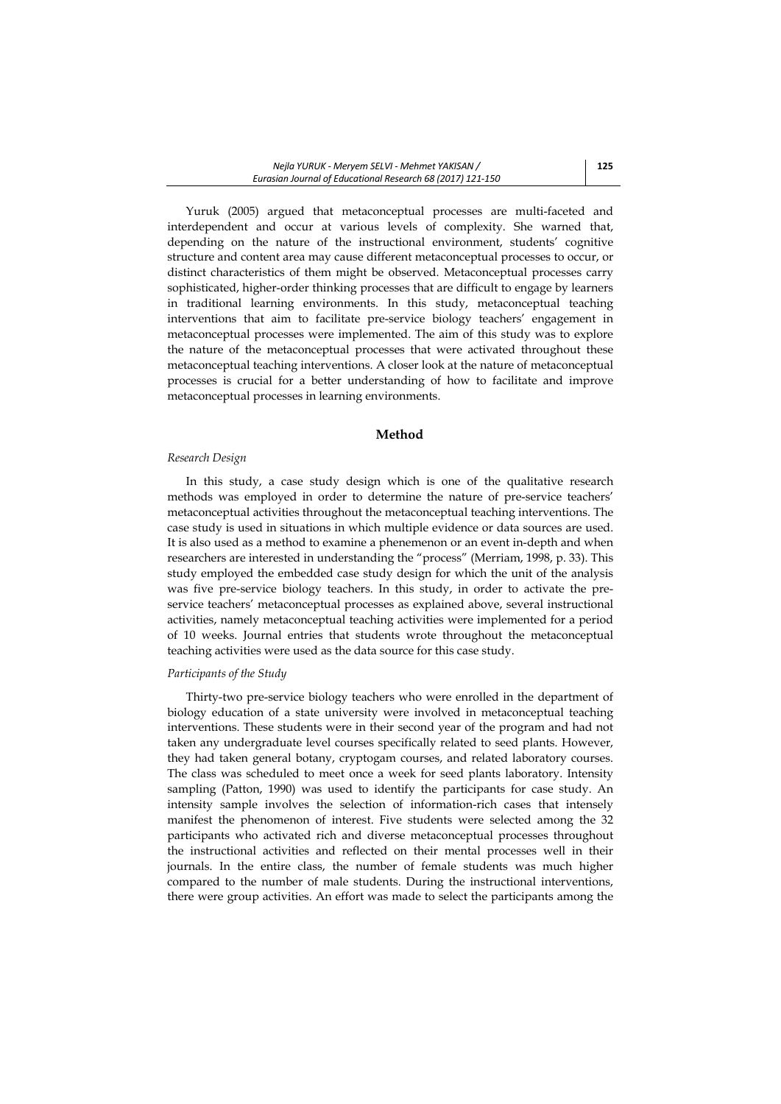Yuruk (2005) argued that metaconceptual processes are multi-faceted and interdependent and occur at various levels of complexity. She warned that, depending on the nature of the instructional environment, students' cognitive structure and content area may cause different metaconceptual processes to occur, or distinct characteristics of them might be observed. Metaconceptual processes carry sophisticated, higher-order thinking processes that are difficult to engage by learners in traditional learning environments. In this study, metaconceptual teaching interventions that aim to facilitate pre-service biology teachers' engagement in metaconceptual processes were implemented. The aim of this study was to explore the nature of the metaconceptual processes that were activated throughout these metaconceptual teaching interventions. A closer look at the nature of metaconceptual processes is crucial for a better understanding of how to facilitate and improve metaconceptual processes in learning environments.

### **Method**

#### *Research Design*

In this study, a case study design which is one of the qualitative research methods was employed in order to determine the nature of pre-service teachers' metaconceptual activities throughout the metaconceptual teaching interventions. The case study is used in situations in which multiple evidence or data sources are used. It is also used as a method to examine a phenemenon or an event in-depth and when researchers are interested in understanding the "process" (Merriam, 1998, p. 33). This study employed the embedded case study design for which the unit of the analysis was five pre-service biology teachers. In this study, in order to activate the preservice teachers' metaconceptual processes as explained above, several instructional activities, namely metaconceptual teaching activities were implemented for a period of 10 weeks. Journal entries that students wrote throughout the metaconceptual teaching activities were used as the data source for this case study.

#### *Participants of the Study*

Thirty-two pre-service biology teachers who were enrolled in the department of biology education of a state university were involved in metaconceptual teaching interventions. These students were in their second year of the program and had not taken any undergraduate level courses specifically related to seed plants. However, they had taken general botany, cryptogam courses, and related laboratory courses. The class was scheduled to meet once a week for seed plants laboratory. Intensity sampling (Patton, 1990) was used to identify the participants for case study. An intensity sample involves the selection of information-rich cases that intensely manifest the phenomenon of interest. Five students were selected among the 32 participants who activated rich and diverse metaconceptual processes throughout the instructional activities and reflected on their mental processes well in their journals. In the entire class, the number of female students was much higher compared to the number of male students. During the instructional interventions, there were group activities. An effort was made to select the participants among the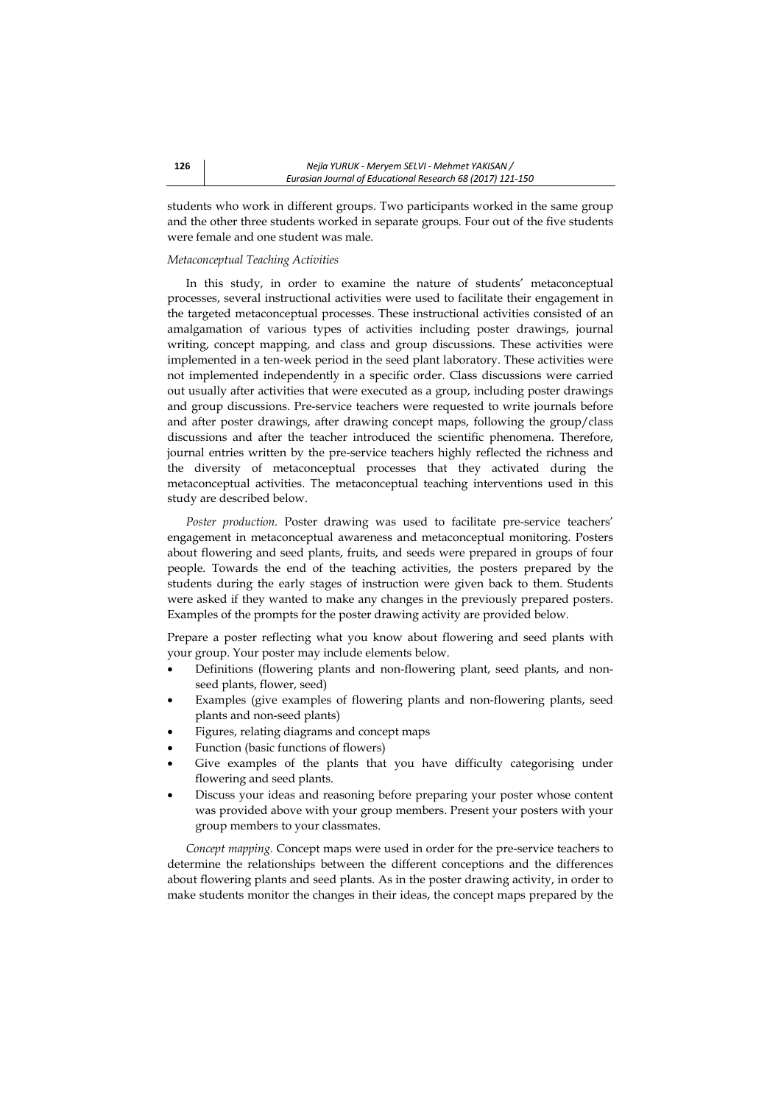students who work in different groups. Two participants worked in the same group and the other three students worked in separate groups. Four out of the five students were female and one student was male.

#### *Metaconceptual Teaching Activities*

In this study, in order to examine the nature of students' metaconceptual processes, several instructional activities were used to facilitate their engagement in the targeted metaconceptual processes. These instructional activities consisted of an amalgamation of various types of activities including poster drawings, journal writing, concept mapping, and class and group discussions. These activities were implemented in a ten-week period in the seed plant laboratory. These activities were not implemented independently in a specific order. Class discussions were carried out usually after activities that were executed as a group, including poster drawings and group discussions. Pre-service teachers were requested to write journals before and after poster drawings, after drawing concept maps, following the group/class discussions and after the teacher introduced the scientific phenomena. Therefore, journal entries written by the pre-service teachers highly reflected the richness and the diversity of metaconceptual processes that they activated during the metaconceptual activities. The metaconceptual teaching interventions used in this study are described below.

*Poster production.* Poster drawing was used to facilitate pre-service teachers' engagement in metaconceptual awareness and metaconceptual monitoring. Posters about flowering and seed plants, fruits, and seeds were prepared in groups of four people. Towards the end of the teaching activities, the posters prepared by the students during the early stages of instruction were given back to them. Students were asked if they wanted to make any changes in the previously prepared posters. Examples of the prompts for the poster drawing activity are provided below.

Prepare a poster reflecting what you know about flowering and seed plants with your group. Your poster may include elements below.

- Definitions (flowering plants and non-flowering plant, seed plants, and nonseed plants, flower, seed)
- Examples (give examples of flowering plants and non-flowering plants, seed plants and non-seed plants)
- Figures, relating diagrams and concept maps
- Function (basic functions of flowers)
- Give examples of the plants that you have difficulty categorising under flowering and seed plants.
- Discuss your ideas and reasoning before preparing your poster whose content was provided above with your group members. Present your posters with your group members to your classmates.

*Concept mapping.* Concept maps were used in order for the pre-service teachers to determine the relationships between the different conceptions and the differences about flowering plants and seed plants. As in the poster drawing activity, in order to make students monitor the changes in their ideas, the concept maps prepared by the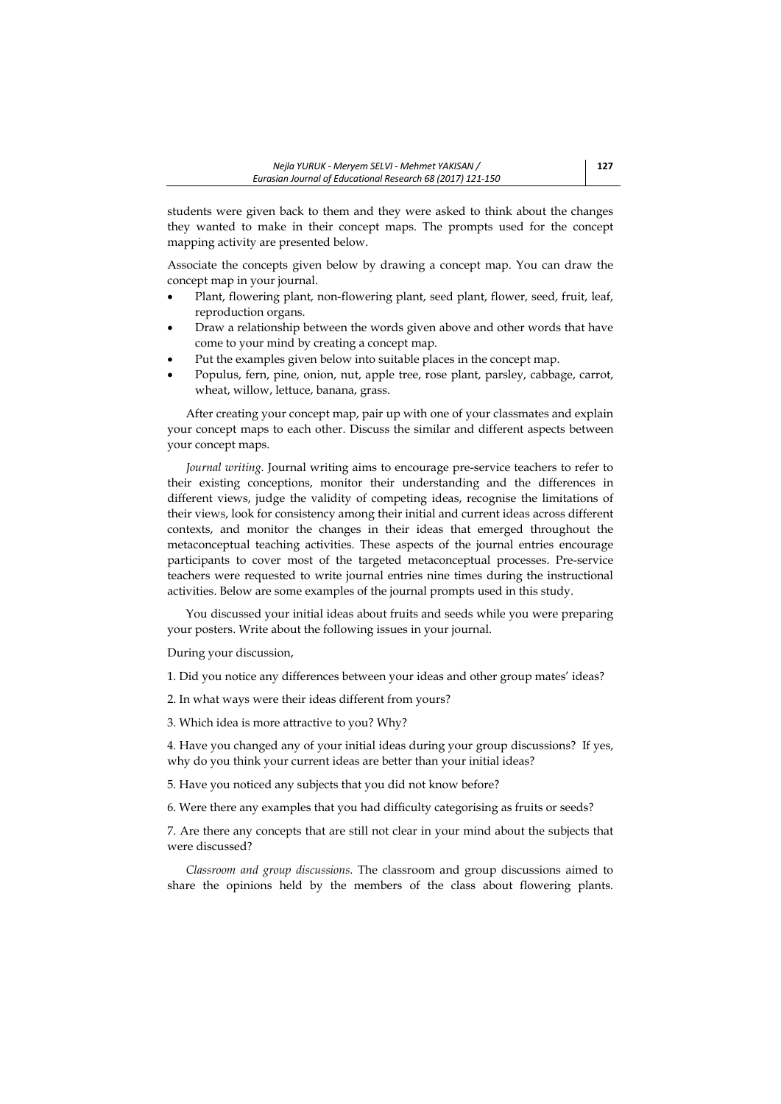students were given back to them and they were asked to think about the changes they wanted to make in their concept maps. The prompts used for the concept mapping activity are presented below.

Associate the concepts given below by drawing a concept map. You can draw the concept map in your journal.

- Plant, flowering plant, non-flowering plant, seed plant, flower, seed, fruit, leaf, reproduction organs.
- Draw a relationship between the words given above and other words that have come to your mind by creating a concept map.
- Put the examples given below into suitable places in the concept map.
- Populus, fern, pine, onion, nut, apple tree, rose plant, parsley, cabbage, carrot, wheat, willow, lettuce, banana, grass.

After creating your concept map, pair up with one of your classmates and explain your concept maps to each other. Discuss the similar and different aspects between your concept maps.

*Journal writing.* Journal writing aims to encourage pre-service teachers to refer to their existing conceptions, monitor their understanding and the differences in different views, judge the validity of competing ideas, recognise the limitations of their views, look for consistency among their initial and current ideas across different contexts, and monitor the changes in their ideas that emerged throughout the metaconceptual teaching activities. These aspects of the journal entries encourage participants to cover most of the targeted metaconceptual processes. Pre-service teachers were requested to write journal entries nine times during the instructional activities. Below are some examples of the journal prompts used in this study.

You discussed your initial ideas about fruits and seeds while you were preparing your posters. Write about the following issues in your journal.

During your discussion,

1. Did you notice any differences between your ideas and other group mates' ideas?

2. In what ways were their ideas different from yours?

3. Which idea is more attractive to you? Why?

4. Have you changed any of your initial ideas during your group discussions? If yes, why do you think your current ideas are better than your initial ideas?

5. Have you noticed any subjects that you did not know before?

6. Were there any examples that you had difficulty categorising as fruits or seeds?

7. Are there any concepts that are still not clear in your mind about the subjects that were discussed?

*Classroom and group discussions.* The classroom and group discussions aimed to share the opinions held by the members of the class about flowering plants.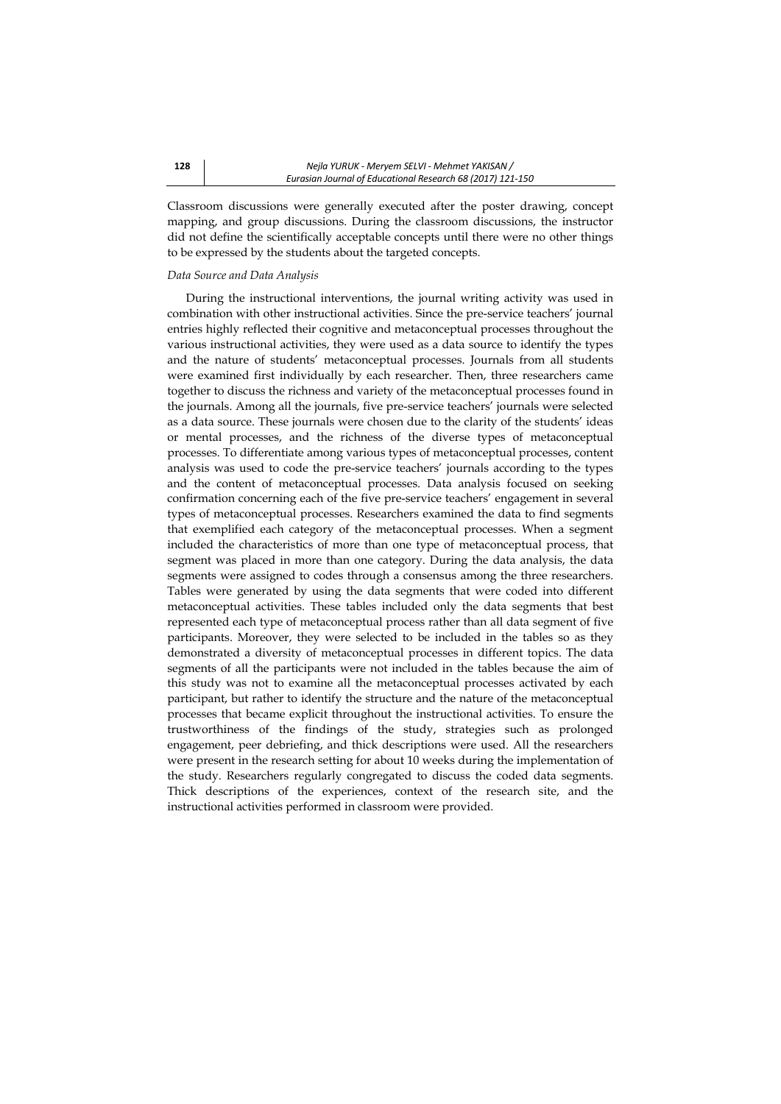Classroom discussions were generally executed after the poster drawing, concept mapping, and group discussions. During the classroom discussions, the instructor did not define the scientifically acceptable concepts until there were no other things to be expressed by the students about the targeted concepts.

#### *Data Source and Data Analysis*

During the instructional interventions, the journal writing activity was used in combination with other instructional activities. Since the pre-service teachers' journal entries highly reflected their cognitive and metaconceptual processes throughout the various instructional activities, they were used as a data source to identify the types and the nature of students' metaconceptual processes. Journals from all students were examined first individually by each researcher. Then, three researchers came together to discuss the richness and variety of the metaconceptual processes found in the journals. Among all the journals, five pre-service teachers' journals were selected as a data source. These journals were chosen due to the clarity of the students' ideas or mental processes, and the richness of the diverse types of metaconceptual processes. To differentiate among various types of metaconceptual processes, content analysis was used to code the pre-service teachers' journals according to the types and the content of metaconceptual processes. Data analysis focused on seeking confirmation concerning each of the five pre-service teachers' engagement in several types of metaconceptual processes. Researchers examined the data to find segments that exemplified each category of the metaconceptual processes. When a segment included the characteristics of more than one type of metaconceptual process, that segment was placed in more than one category. During the data analysis, the data segments were assigned to codes through a consensus among the three researchers. Tables were generated by using the data segments that were coded into different metaconceptual activities. These tables included only the data segments that best represented each type of metaconceptual process rather than all data segment of five participants. Moreover, they were selected to be included in the tables so as they demonstrated a diversity of metaconceptual processes in different topics. The data segments of all the participants were not included in the tables because the aim of this study was not to examine all the metaconceptual processes activated by each participant, but rather to identify the structure and the nature of the metaconceptual processes that became explicit throughout the instructional activities. To ensure the trustworthiness of the findings of the study, strategies such as prolonged engagement, peer debriefing, and thick descriptions were used. All the researchers were present in the research setting for about 10 weeks during the implementation of the study. Researchers regularly congregated to discuss the coded data segments. Thick descriptions of the experiences, context of the research site, and the instructional activities performed in classroom were provided.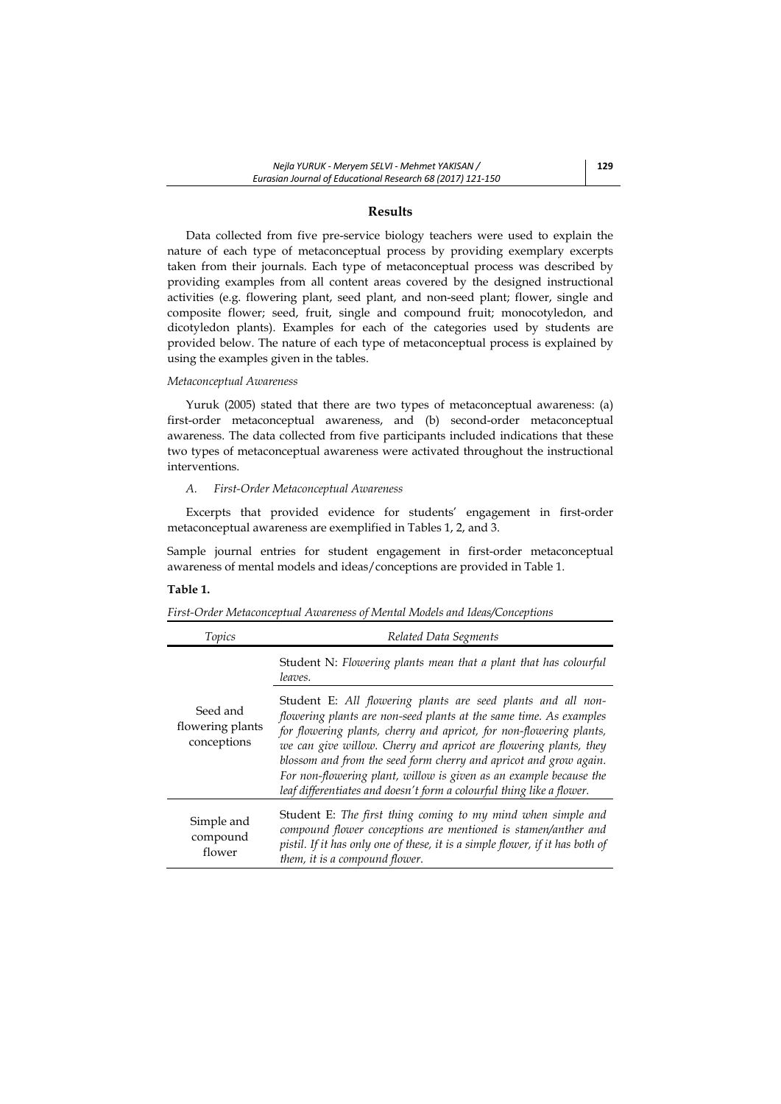# **Results**

Data collected from five pre-service biology teachers were used to explain the nature of each type of metaconceptual process by providing exemplary excerpts taken from their journals. Each type of metaconceptual process was described by providing examples from all content areas covered by the designed instructional activities (e.g. flowering plant, seed plant, and non-seed plant; flower, single and composite flower; seed, fruit, single and compound fruit; monocotyledon, and dicotyledon plants). Examples for each of the categories used by students are provided below. The nature of each type of metaconceptual process is explained by using the examples given in the tables.

#### *Metaconceptual Awareness*

Yuruk (2005) stated that there are two types of metaconceptual awareness: (a) first-order metaconceptual awareness, and (b) second-order metaconceptual awareness. The data collected from five participants included indications that these two types of metaconceptual awareness were activated throughout the instructional interventions.

#### *A. First-Order Metaconceptual Awareness*

Excerpts that provided evidence for students' engagement in first-order metaconceptual awareness are exemplified in Tables 1, 2, and 3.

Sample journal entries for student engagement in first-order metaconceptual awareness of mental models and ideas/conceptions are provided in Table 1.

## **Table 1.**

| First-Order Metaconceptual Awareness of Mental Models and Ideas/Conceptions |
|-----------------------------------------------------------------------------|
|                                                                             |
|                                                                             |

| Topics                                      | Related Data Segments                                                                                                                                                                                                                                                                                                                                                                                                                                                                              |
|---------------------------------------------|----------------------------------------------------------------------------------------------------------------------------------------------------------------------------------------------------------------------------------------------------------------------------------------------------------------------------------------------------------------------------------------------------------------------------------------------------------------------------------------------------|
| Seed and<br>flowering plants<br>conceptions | Student N: Flowering plants mean that a plant that has colourful<br>leaves.                                                                                                                                                                                                                                                                                                                                                                                                                        |
|                                             | Student E: All flowering plants are seed plants and all non-<br>flowering plants are non-seed plants at the same time. As examples<br>for flowering plants, cherry and apricot, for non-flowering plants,<br>we can give willow. Cherry and apricot are flowering plants, they<br>blossom and from the seed form cherry and apricot and grow again.<br>For non-flowering plant, willow is given as an example because the<br>leaf differentiates and doesn't form a colourful thing like a flower. |
| Simple and<br>compound<br>flower            | Student E: The first thing coming to my mind when simple and<br>compound flower conceptions are mentioned is stamen/anther and<br>pistil. If it has only one of these, it is a simple flower, if it has both of<br>them, it is a compound flower.                                                                                                                                                                                                                                                  |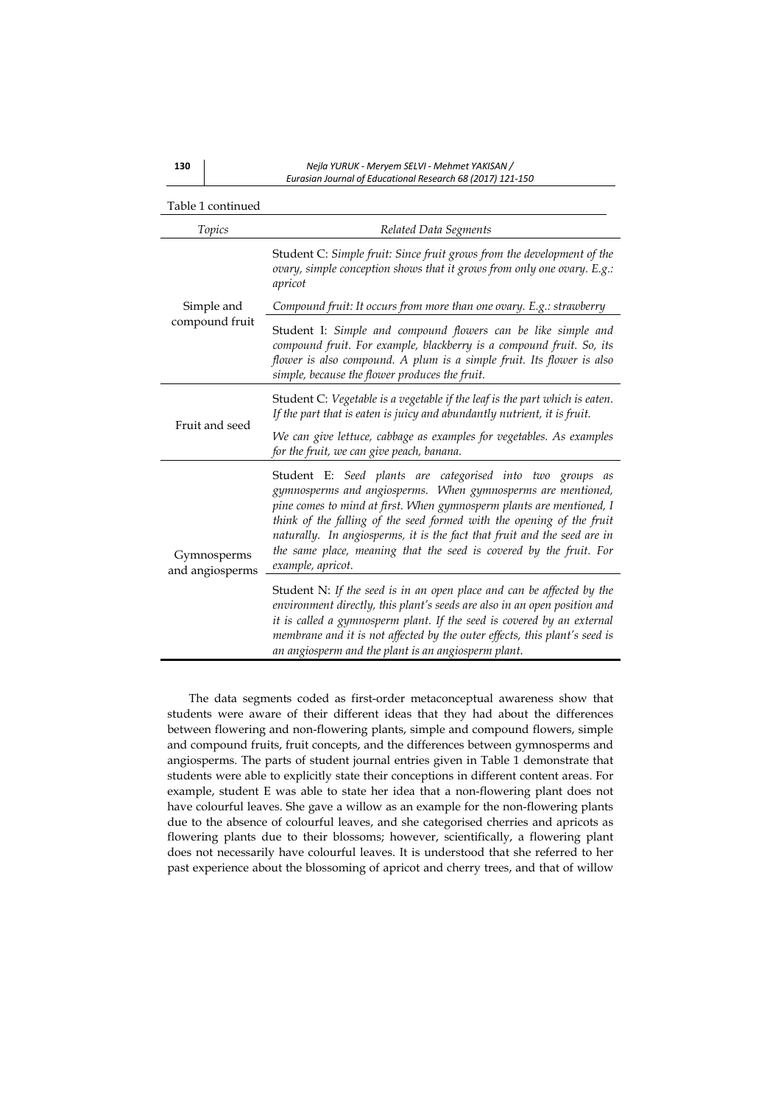| Table 1 continued              |                                                                                                                                                                                                                                                                                                                                                                                                                                                   |
|--------------------------------|---------------------------------------------------------------------------------------------------------------------------------------------------------------------------------------------------------------------------------------------------------------------------------------------------------------------------------------------------------------------------------------------------------------------------------------------------|
| Topics                         | Related Data Segments                                                                                                                                                                                                                                                                                                                                                                                                                             |
|                                | Student C: Simple fruit: Since fruit grows from the development of the<br>ovary, simple conception shows that it grows from only one ovary. E.g.:<br>apricot                                                                                                                                                                                                                                                                                      |
| Simple and                     | Compound fruit: It occurs from more than one ovary. E.g.: strawberry                                                                                                                                                                                                                                                                                                                                                                              |
| compound fruit                 | Student I: Simple and compound flowers can be like simple and<br>compound fruit. For example, blackberry is a compound fruit. So, its<br>flower is also compound. A plum is a simple fruit. Its flower is also<br>simple, because the flower produces the fruit.                                                                                                                                                                                  |
| Fruit and seed                 | Student C: Vegetable is a vegetable if the leaf is the part which is eaten.<br>If the part that is eaten is juicy and abundantly nutrient, it is fruit.                                                                                                                                                                                                                                                                                           |
|                                | We can give lettuce, cabbage as examples for vegetables. As examples<br>for the fruit, we can give peach, banana.                                                                                                                                                                                                                                                                                                                                 |
| Gymnosperms<br>and angiosperms | Student E: Seed plants are categorised into two groups as<br>gymnosperms and angiosperms. When gymnosperms are mentioned,<br>pine comes to mind at first. When gymnosperm plants are mentioned, I<br>think of the falling of the seed formed with the opening of the fruit<br>naturally. In angiosperms, it is the fact that fruit and the seed are in<br>the same place, meaning that the seed is covered by the fruit. For<br>example, apricot. |
|                                | Student N: If the seed is in an open place and can be affected by the<br>environment directly, this plant's seeds are also in an open position and<br>it is called a gymnosperm plant. If the seed is covered by an external<br>membrane and it is not affected by the outer effects, this plant's seed is<br>an angiosperm and the plant is an angiosperm plant.                                                                                 |

 The data segments coded as first-order metaconceptual awareness show that students were aware of their different ideas that they had about the differences between flowering and non-flowering plants, simple and compound flowers, simple and compound fruits, fruit concepts, and the differences between gymnosperms and angiosperms. The parts of student journal entries given in Table 1 demonstrate that students were able to explicitly state their conceptions in different content areas. For example, student E was able to state her idea that a non-flowering plant does not have colourful leaves. She gave a willow as an example for the non-flowering plants due to the absence of colourful leaves, and she categorised cherries and apricots as flowering plants due to their blossoms; however, scientifically, a flowering plant does not necessarily have colourful leaves. It is understood that she referred to her past experience about the blossoming of apricot and cherry trees, and that of willow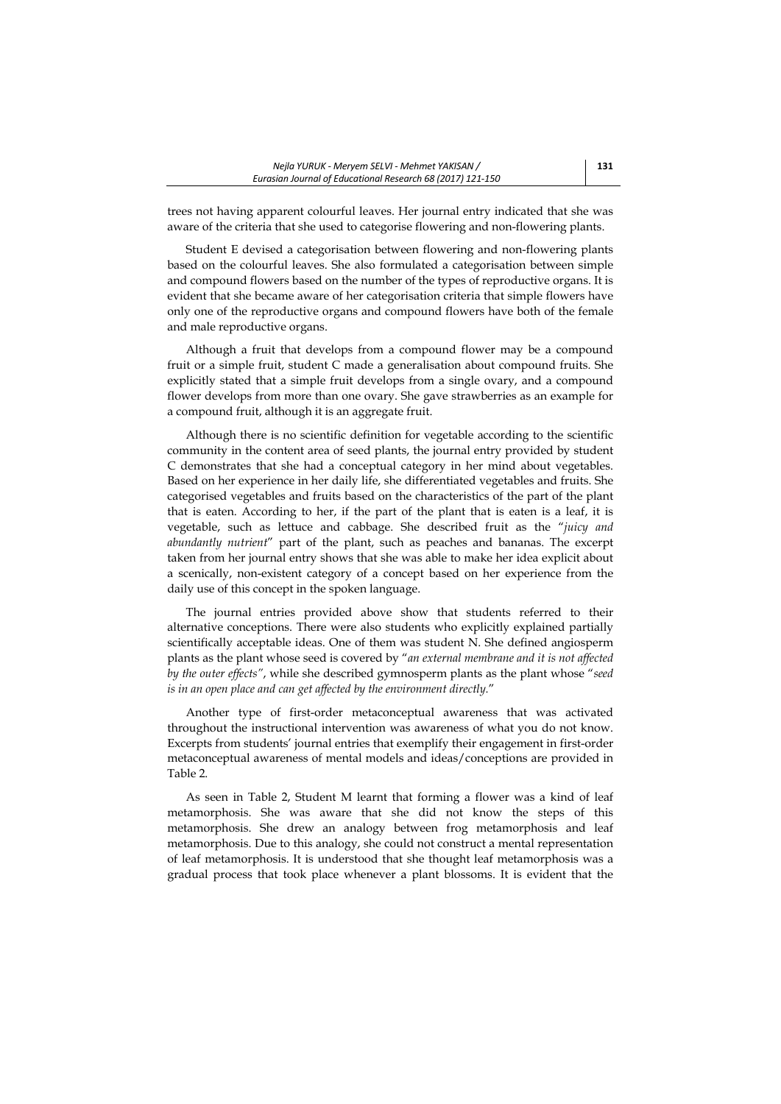trees not having apparent colourful leaves. Her journal entry indicated that she was aware of the criteria that she used to categorise flowering and non-flowering plants.

Student E devised a categorisation between flowering and non-flowering plants based on the colourful leaves. She also formulated a categorisation between simple and compound flowers based on the number of the types of reproductive organs. It is evident that she became aware of her categorisation criteria that simple flowers have only one of the reproductive organs and compound flowers have both of the female and male reproductive organs.

Although a fruit that develops from a compound flower may be a compound fruit or a simple fruit, student C made a generalisation about compound fruits. She explicitly stated that a simple fruit develops from a single ovary, and a compound flower develops from more than one ovary. She gave strawberries as an example for a compound fruit, although it is an aggregate fruit.

Although there is no scientific definition for vegetable according to the scientific community in the content area of seed plants, the journal entry provided by student C demonstrates that she had a conceptual category in her mind about vegetables. Based on her experience in her daily life, she differentiated vegetables and fruits. She categorised vegetables and fruits based on the characteristics of the part of the plant that is eaten. According to her, if the part of the plant that is eaten is a leaf, it is vegetable, such as lettuce and cabbage. She described fruit as the "*juicy and abundantly nutrient*" part of the plant, such as peaches and bananas. The excerpt taken from her journal entry shows that she was able to make her idea explicit about a scenically, non-existent category of a concept based on her experience from the daily use of this concept in the spoken language.

The journal entries provided above show that students referred to their alternative conceptions. There were also students who explicitly explained partially scientifically acceptable ideas. One of them was student N. She defined angiosperm plants as the plant whose seed is covered by "*an external membrane and it is not affected by the outer effects"*, while she described gymnosperm plants as the plant whose "*seed is in an open place and can get affected by the environment directly.*"

Another type of first-order metaconceptual awareness that was activated throughout the instructional intervention was awareness of what you do not know. Excerpts from students' journal entries that exemplify their engagement in first-order metaconceptual awareness of mental models and ideas/conceptions are provided in Table 2.

As seen in Table 2, Student M learnt that forming a flower was a kind of leaf metamorphosis. She was aware that she did not know the steps of this metamorphosis. She drew an analogy between frog metamorphosis and leaf metamorphosis. Due to this analogy, she could not construct a mental representation of leaf metamorphosis. It is understood that she thought leaf metamorphosis was a gradual process that took place whenever a plant blossoms. It is evident that the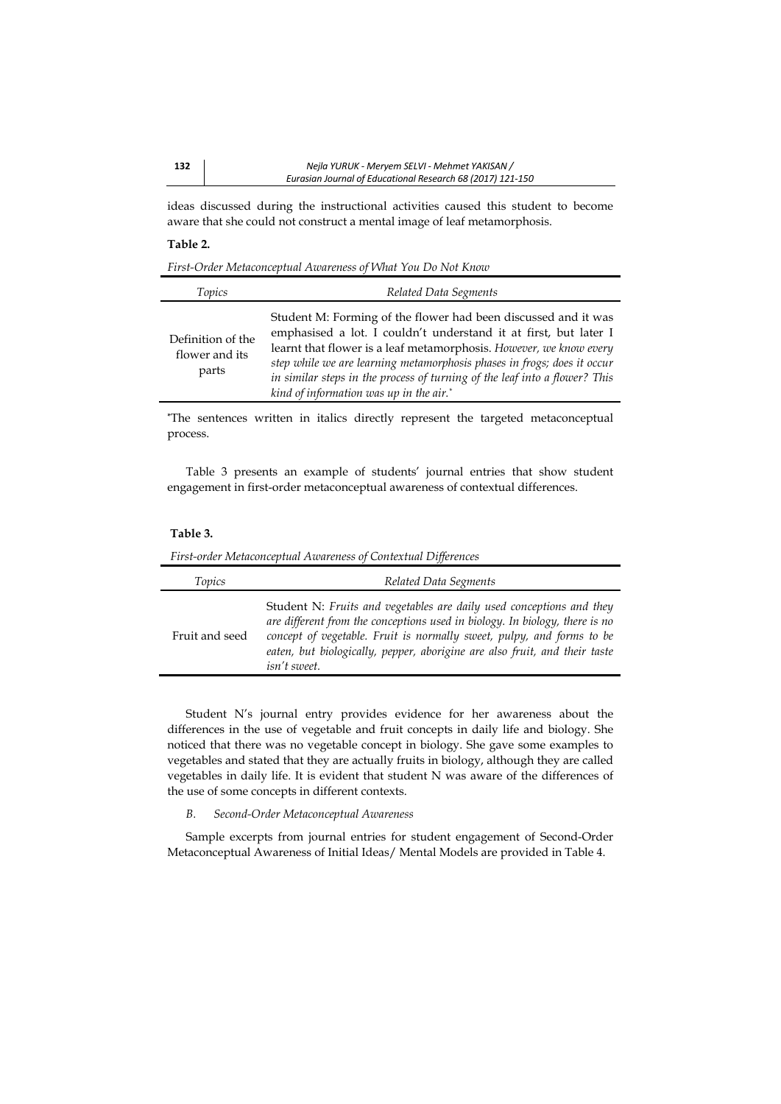ideas discussed during the instructional activities caused this student to become aware that she could not construct a mental image of leaf metamorphosis.

## **Table 2.**

*First-Order Metaconceptual Awareness of What You Do Not Know* 

| Topics                                       | Related Data Segments                                                                                                                                                                                                                                                                                                                                                                                        |
|----------------------------------------------|--------------------------------------------------------------------------------------------------------------------------------------------------------------------------------------------------------------------------------------------------------------------------------------------------------------------------------------------------------------------------------------------------------------|
| Definition of the<br>flower and its<br>parts | Student M: Forming of the flower had been discussed and it was<br>emphasised a lot. I couldn't understand it at first, but later I<br>learnt that flower is a leaf metamorphosis. However, we know every<br>step while we are learning metamorphosis phases in frogs; does it occur<br>in similar steps in the process of turning of the leaf into a flower? This<br>kind of information was up in the air.* |

**\***The sentences written in italics directly represent the targeted metaconceptual process.

Table 3 presents an example of students' journal entries that show student engagement in first-order metaconceptual awareness of contextual differences.

### **Table 3.**

 *First-order Metaconceptual Awareness of Contextual Differences* 

| Topics         | Related Data Segments                                                                                                                                                                                                                                                                                                      |
|----------------|----------------------------------------------------------------------------------------------------------------------------------------------------------------------------------------------------------------------------------------------------------------------------------------------------------------------------|
| Fruit and seed | Student N: Fruits and vegetables are daily used conceptions and they<br>are different from the conceptions used in biology. In biology, there is no<br>concept of vegetable. Fruit is normally sweet, pulpy, and forms to be<br>eaten, but biologically, pepper, aborigine are also fruit, and their taste<br>isn't sweet. |

Student N's journal entry provides evidence for her awareness about the differences in the use of vegetable and fruit concepts in daily life and biology. She noticed that there was no vegetable concept in biology. She gave some examples to vegetables and stated that they are actually fruits in biology, although they are called vegetables in daily life. It is evident that student N was aware of the differences of the use of some concepts in different contexts.

## *B. Second-Order Metaconceptual Awareness*

Sample excerpts from journal entries for student engagement of Second-Order Metaconceptual Awareness of Initial Ideas/ Mental Models are provided in Table 4.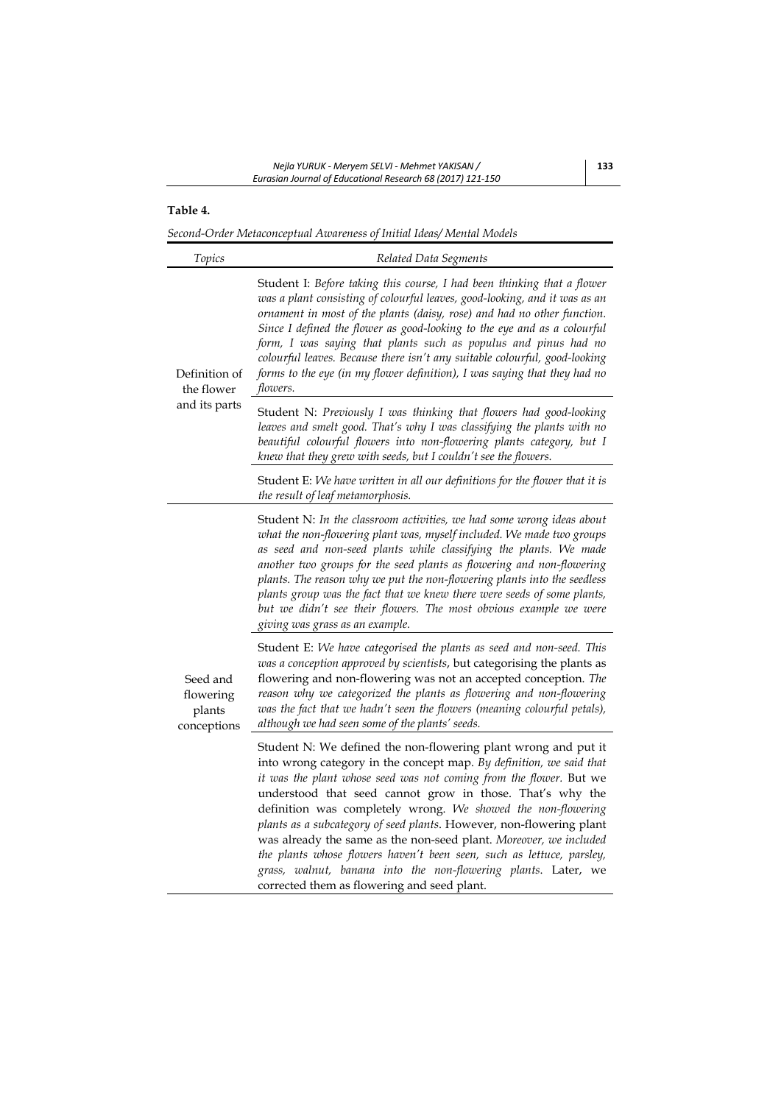# **Table 4.**

*Second-Order Metaconceptual Awareness of Initial Ideas/ Mental Models* 

| Topics                                         | Related Data Segments                                                                                                                                                                                                                                                                                                                                                                                                                                                                                                                                                                                                                                                           |
|------------------------------------------------|---------------------------------------------------------------------------------------------------------------------------------------------------------------------------------------------------------------------------------------------------------------------------------------------------------------------------------------------------------------------------------------------------------------------------------------------------------------------------------------------------------------------------------------------------------------------------------------------------------------------------------------------------------------------------------|
| Definition of<br>the flower<br>and its parts   | Student I: Before taking this course, I had been thinking that a flower<br>was a plant consisting of colourful leaves, good-looking, and it was as an<br>ornament in most of the plants (daisy, rose) and had no other function.<br>Since I defined the flower as good-looking to the eye and as a colourful<br>form, I was saying that plants such as populus and pinus had no<br>colourful leaves. Because there isn't any suitable colourful, good-looking<br>forms to the eye (in my flower definition), I was saying that they had no<br>flowers.                                                                                                                          |
|                                                | Student N: Previously I was thinking that flowers had good-looking<br>leaves and smelt good. That's why I was classifying the plants with no<br>beautiful colourful flowers into non-flowering plants category, but I<br>knew that they grew with seeds, but I couldn't see the flowers.                                                                                                                                                                                                                                                                                                                                                                                        |
|                                                | Student E: We have written in all our definitions for the flower that it is<br>the result of leaf metamorphosis.                                                                                                                                                                                                                                                                                                                                                                                                                                                                                                                                                                |
| Seed and<br>flowering<br>plants<br>conceptions | Student N: In the classroom activities, we had some wrong ideas about<br>what the non-flowering plant was, myself included. We made two groups<br>as seed and non-seed plants while classifying the plants. We made<br>another two groups for the seed plants as flowering and non-flowering<br>plants. The reason why we put the non-flowering plants into the seedless<br>plants group was the fact that we knew there were seeds of some plants,<br>but we didn't see their flowers. The most obvious example we were<br>giving was grass as an example.                                                                                                                     |
|                                                | Student E: We have categorised the plants as seed and non-seed. This<br>was a conception approved by scientists, but categorising the plants as<br>flowering and non-flowering was not an accepted conception. The<br>reason why we categorized the plants as flowering and non-flowering<br>was the fact that we hadn't seen the flowers (meaning colourful petals),<br>although we had seen some of the plants' seeds.                                                                                                                                                                                                                                                        |
|                                                | Student N: We defined the non-flowering plant wrong and put it<br>into wrong category in the concept map. By definition, we said that<br>it was the plant whose seed was not coming from the flower. But we<br>understood that seed cannot grow in those. That's why the<br>definition was completely wrong. We showed the non-flowering<br>plants as a subcategory of seed plants. However, non-flowering plant<br>was already the same as the non-seed plant. Moreover, we included<br>the plants whose flowers haven't been seen, such as lettuce, parsley,<br>grass, walnut, banana into the non-flowering plants. Later, we<br>corrected them as flowering and seed plant. |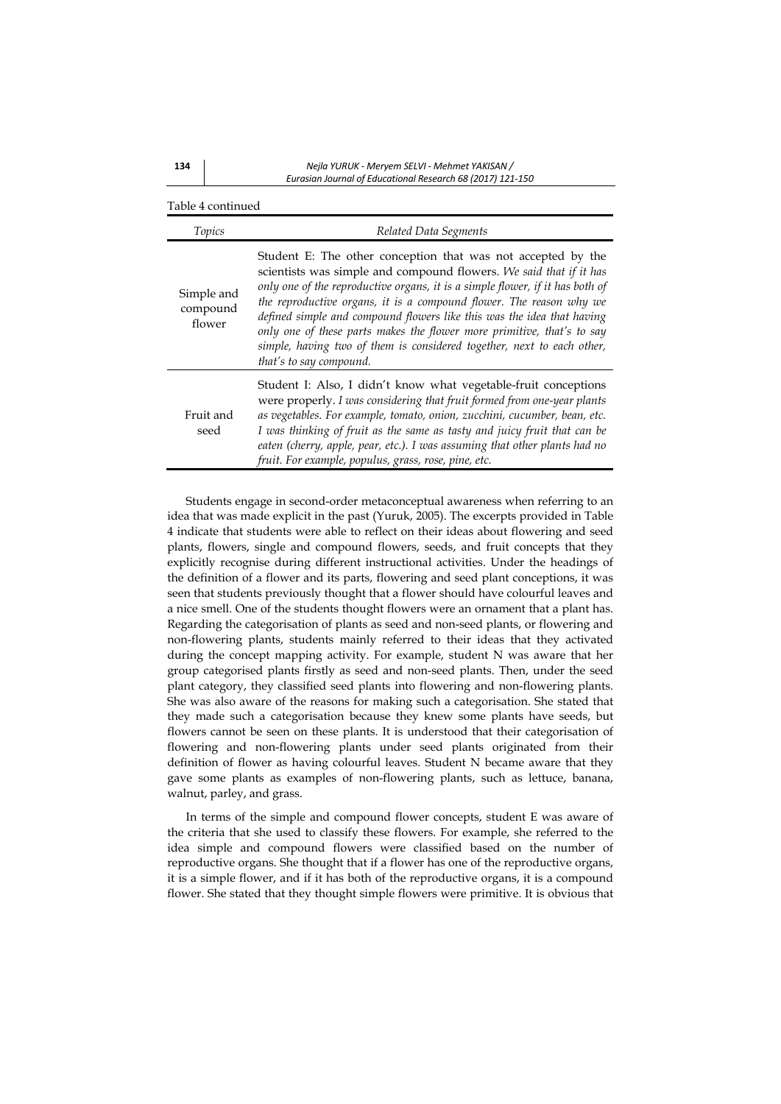**134**  *Nejla YURUK ‐ Meryem SELVI ‐ Mehmet YAKISAN / Eurasian Journal of Educational Research 68 (2017) 121‐150*

| Table 4 continued                |                                                                                                                                                                                                                                                                                                                                                                                                                                                                                                                                                     |
|----------------------------------|-----------------------------------------------------------------------------------------------------------------------------------------------------------------------------------------------------------------------------------------------------------------------------------------------------------------------------------------------------------------------------------------------------------------------------------------------------------------------------------------------------------------------------------------------------|
| Topics                           | Related Data Segments                                                                                                                                                                                                                                                                                                                                                                                                                                                                                                                               |
| Simple and<br>compound<br>flower | Student E: The other conception that was not accepted by the<br>scientists was simple and compound flowers. We said that if it has<br>only one of the reproductive organs, it is a simple flower, if it has both of<br>the reproductive organs, it is a compound flower. The reason why we<br>defined simple and compound flowers like this was the idea that having<br>only one of these parts makes the flower more primitive, that's to say<br>simple, having two of them is considered together, next to each other,<br>that's to say compound. |
| Fruit and<br>seed                | Student I: Also, I didn't know what vegetable-fruit conceptions<br>were properly. I was considering that fruit formed from one-year plants<br>as vegetables. For example, tomato, onion, zucchini, cucumber, bean, etc.<br>I was thinking of fruit as the same as tasty and juicy fruit that can be<br>eaten (cherry, apple, pear, etc.). I was assuming that other plants had no<br>fruit. For example, populus, grass, rose, pine, etc.                                                                                                           |

Students engage in second-order metaconceptual awareness when referring to an idea that was made explicit in the past (Yuruk, 2005). The excerpts provided in Table 4 indicate that students were able to reflect on their ideas about flowering and seed plants, flowers, single and compound flowers, seeds, and fruit concepts that they explicitly recognise during different instructional activities. Under the headings of the definition of a flower and its parts, flowering and seed plant conceptions, it was seen that students previously thought that a flower should have colourful leaves and a nice smell. One of the students thought flowers were an ornament that a plant has. Regarding the categorisation of plants as seed and non-seed plants, or flowering and non-flowering plants, students mainly referred to their ideas that they activated during the concept mapping activity. For example, student N was aware that her group categorised plants firstly as seed and non-seed plants. Then, under the seed plant category, they classified seed plants into flowering and non-flowering plants. She was also aware of the reasons for making such a categorisation. She stated that they made such a categorisation because they knew some plants have seeds, but flowers cannot be seen on these plants. It is understood that their categorisation of flowering and non-flowering plants under seed plants originated from their definition of flower as having colourful leaves. Student N became aware that they gave some plants as examples of non-flowering plants, such as lettuce, banana, walnut, parley, and grass.

In terms of the simple and compound flower concepts, student E was aware of the criteria that she used to classify these flowers. For example, she referred to the idea simple and compound flowers were classified based on the number of reproductive organs. She thought that if a flower has one of the reproductive organs, it is a simple flower, and if it has both of the reproductive organs, it is a compound flower. She stated that they thought simple flowers were primitive. It is obvious that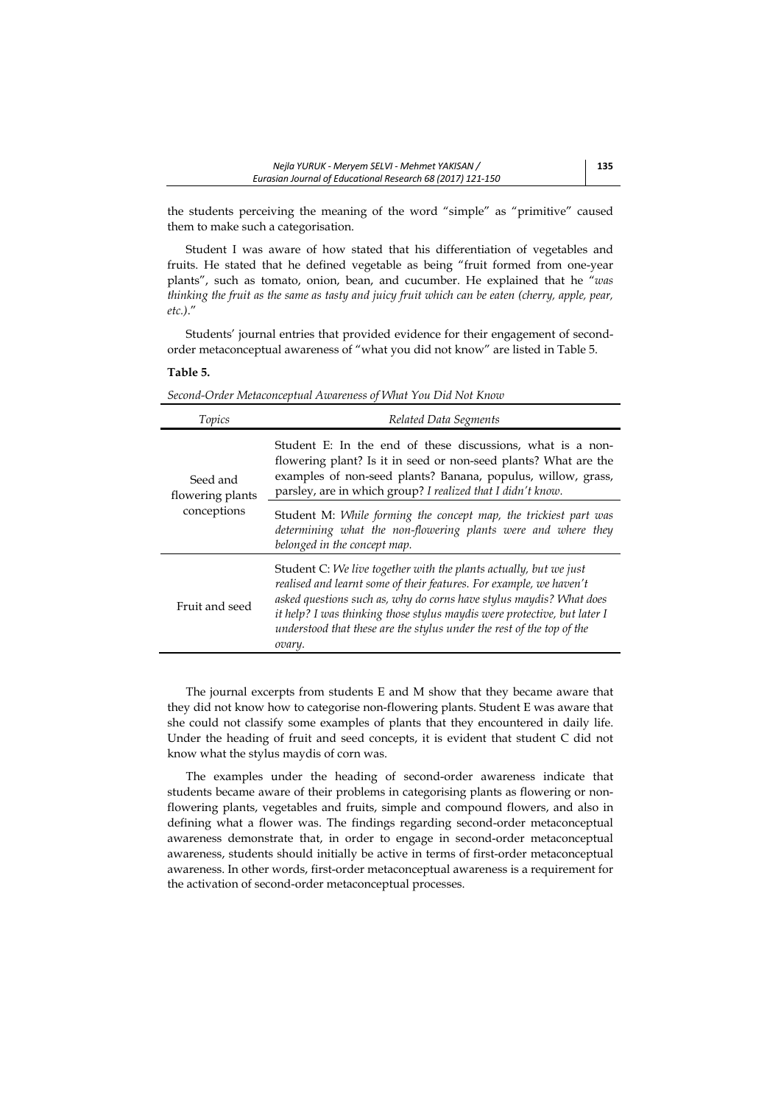the students perceiving the meaning of the word "simple" as "primitive" caused them to make such a categorisation.

Student I was aware of how stated that his differentiation of vegetables and fruits. He stated that he defined vegetable as being "fruit formed from one-year plants", such as tomato, onion, bean, and cucumber. He explained that he "*was thinking the fruit as the same as tasty and juicy fruit which can be eaten (cherry, apple, pear, etc.)*."

Students' journal entries that provided evidence for their engagement of secondorder metaconceptual awareness of "what you did not know" are listed in Table 5.

## **Table 5.**

| Topics                                      | Related Data Segments                                                                                                                                                                                                                                                                                                                                                          |
|---------------------------------------------|--------------------------------------------------------------------------------------------------------------------------------------------------------------------------------------------------------------------------------------------------------------------------------------------------------------------------------------------------------------------------------|
| Seed and<br>flowering plants<br>conceptions | Student E: In the end of these discussions, what is a non-<br>flowering plant? Is it in seed or non-seed plants? What are the<br>examples of non-seed plants? Banana, populus, willow, grass,<br>parsley, are in which group? I realized that I didn't know.                                                                                                                   |
|                                             | Student M: While forming the concept map, the trickiest part was<br>determining what the non-flowering plants were and where they<br>belonged in the concept map.                                                                                                                                                                                                              |
| Fruit and seed                              | Student C: We live together with the plants actually, but we just<br>realised and learnt some of their features. For example, we haven't<br>asked questions such as, why do corns have stylus maydis? What does<br>it help? I was thinking those stylus maydis were protective, but later I<br>understood that these are the stylus under the rest of the top of the<br>ovary. |

The journal excerpts from students E and M show that they became aware that they did not know how to categorise non-flowering plants. Student E was aware that she could not classify some examples of plants that they encountered in daily life. Under the heading of fruit and seed concepts, it is evident that student C did not know what the stylus maydis of corn was.

The examples under the heading of second-order awareness indicate that students became aware of their problems in categorising plants as flowering or nonflowering plants, vegetables and fruits, simple and compound flowers, and also in defining what a flower was. The findings regarding second-order metaconceptual awareness demonstrate that, in order to engage in second-order metaconceptual awareness, students should initially be active in terms of first-order metaconceptual awareness. In other words, first-order metaconceptual awareness is a requirement for the activation of second-order metaconceptual processes.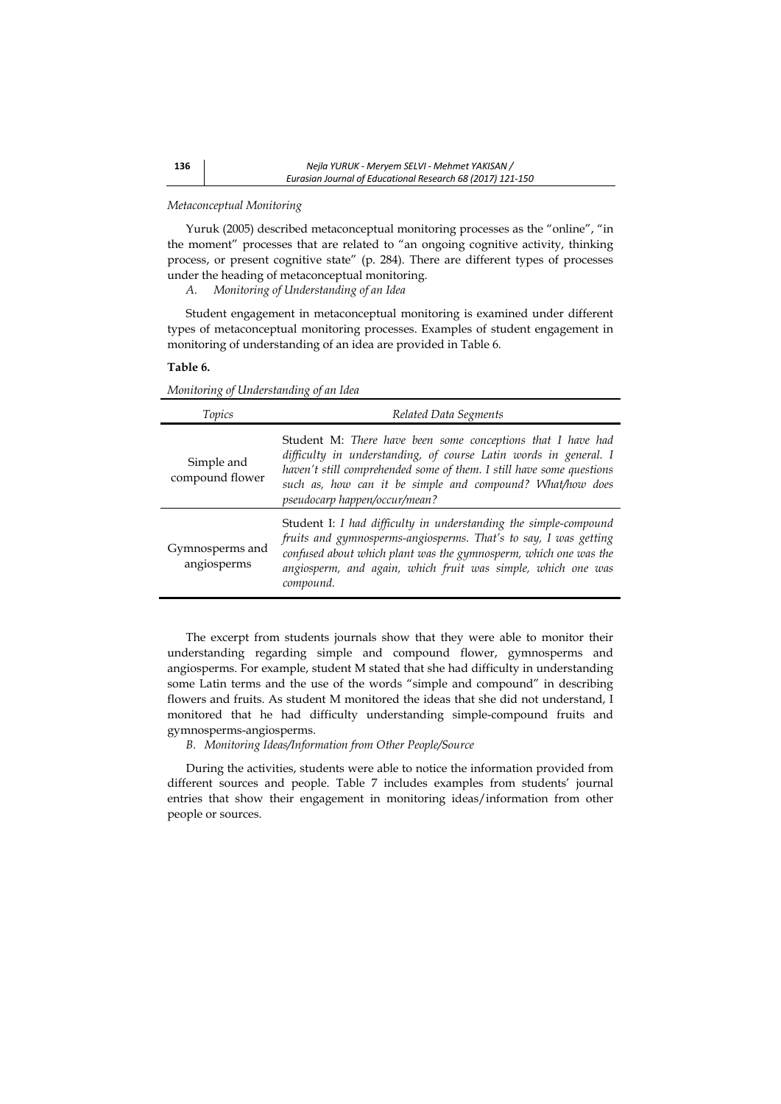### *Metaconceptual Monitoring*

Yuruk (2005) described metaconceptual monitoring processes as the "online", "in the moment" processes that are related to "an ongoing cognitive activity, thinking process, or present cognitive state" (p. 284). There are different types of processes under the heading of metaconceptual monitoring.

*A. Monitoring of Understanding of an Idea* 

Student engagement in metaconceptual monitoring is examined under different types of metaconceptual monitoring processes. Examples of student engagement in monitoring of understanding of an idea are provided in Table 6.

### **Table 6.**

*Monitoring of Understanding of an Idea* 

| Topics                         | Related Data Segments                                                                                                                                                                                                                                                                                 |
|--------------------------------|-------------------------------------------------------------------------------------------------------------------------------------------------------------------------------------------------------------------------------------------------------------------------------------------------------|
| Simple and<br>compound flower  | Student M: There have been some conceptions that I have had<br>difficulty in understanding, of course Latin words in general. I<br>haven't still comprehended some of them. I still have some questions<br>such as, how can it be simple and compound? What/how does<br>pseudocarp happen/occur/mean? |
| Gymnosperms and<br>angiosperms | Student I: I had difficulty in understanding the simple-compound<br>fruits and gymnosperms-angiosperms. That's to say, I was getting<br>confused about which plant was the gymnosperm, which one was the<br>angiosperm, and again, which fruit was simple, which one was<br>compound.                 |

The excerpt from students journals show that they were able to monitor their understanding regarding simple and compound flower, gymnosperms and angiosperms. For example, student M stated that she had difficulty in understanding some Latin terms and the use of the words "simple and compound" in describing flowers and fruits. As student M monitored the ideas that she did not understand, I monitored that he had difficulty understanding simple-compound fruits and gymnosperms-angiosperms.

*B. Monitoring Ideas/Information from Other People/Source* 

During the activities, students were able to notice the information provided from different sources and people. Table 7 includes examples from students' journal entries that show their engagement in monitoring ideas/information from other people or sources.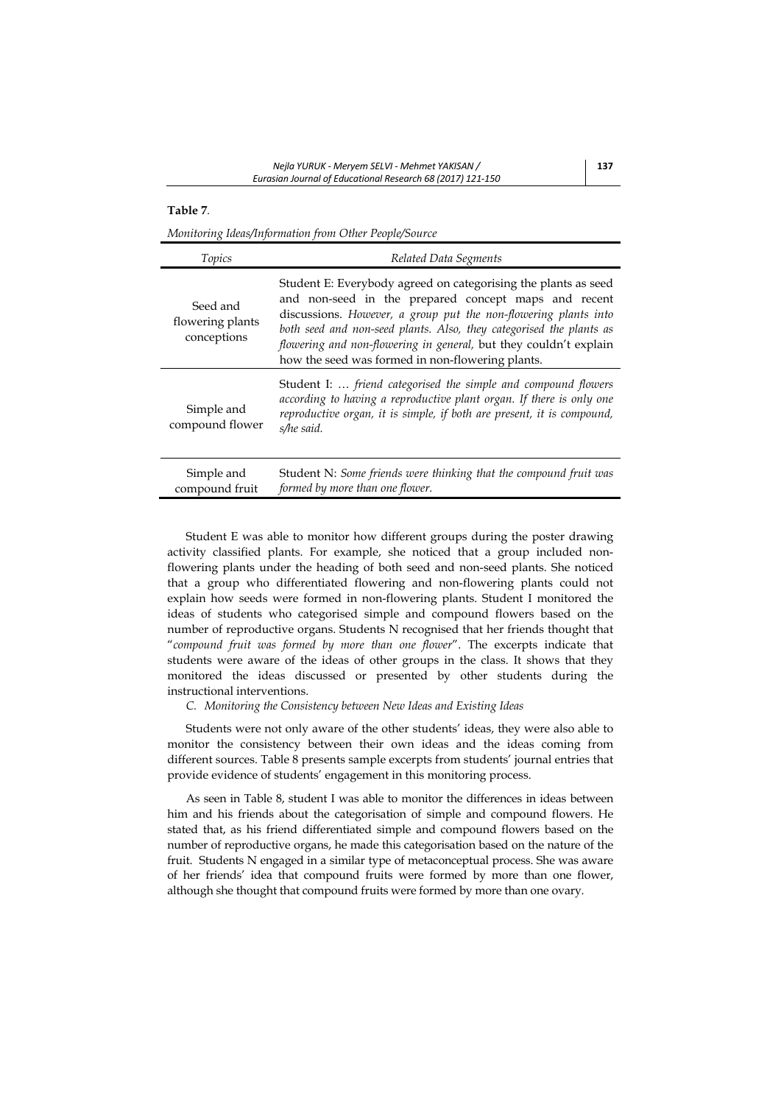# **Table 7***.*

*Monitoring Ideas/Information from Other People/Source* 

| Topics                                      | Related Data Segments                                                                                                                                                                                                                                                                                                                                                                     |
|---------------------------------------------|-------------------------------------------------------------------------------------------------------------------------------------------------------------------------------------------------------------------------------------------------------------------------------------------------------------------------------------------------------------------------------------------|
| Seed and<br>flowering plants<br>conceptions | Student E: Everybody agreed on categorising the plants as seed<br>and non-seed in the prepared concept maps and recent<br>discussions. However, a group put the non-flowering plants into<br>both seed and non-seed plants. Also, they categorised the plants as<br>flowering and non-flowering in general, but they couldn't explain<br>how the seed was formed in non-flowering plants. |
| Simple and<br>compound flower               | Student I:  friend categorised the simple and compound flowers<br>according to having a reproductive plant organ. If there is only one<br>reproductive organ, it is simple, if both are present, it is compound,<br>s/he said.                                                                                                                                                            |
| Simple and<br>compound fruit                | Student N: Some friends were thinking that the compound fruit was<br>formed by more than one flower.                                                                                                                                                                                                                                                                                      |

Student E was able to monitor how different groups during the poster drawing activity classified plants. For example, she noticed that a group included nonflowering plants under the heading of both seed and non-seed plants. She noticed that a group who differentiated flowering and non-flowering plants could not explain how seeds were formed in non-flowering plants. Student I monitored the ideas of students who categorised simple and compound flowers based on the number of reproductive organs. Students N recognised that her friends thought that "*compound fruit was formed by more than one flower*". The excerpts indicate that students were aware of the ideas of other groups in the class. It shows that they monitored the ideas discussed or presented by other students during the instructional interventions.

*C. Monitoring the Consistency between New Ideas and Existing Ideas* 

Students were not only aware of the other students' ideas, they were also able to monitor the consistency between their own ideas and the ideas coming from different sources. Table 8 presents sample excerpts from students' journal entries that provide evidence of students' engagement in this monitoring process.

As seen in Table 8, student I was able to monitor the differences in ideas between him and his friends about the categorisation of simple and compound flowers. He stated that, as his friend differentiated simple and compound flowers based on the number of reproductive organs, he made this categorisation based on the nature of the fruit. Students N engaged in a similar type of metaconceptual process. She was aware of her friends' idea that compound fruits were formed by more than one flower, although she thought that compound fruits were formed by more than one ovary.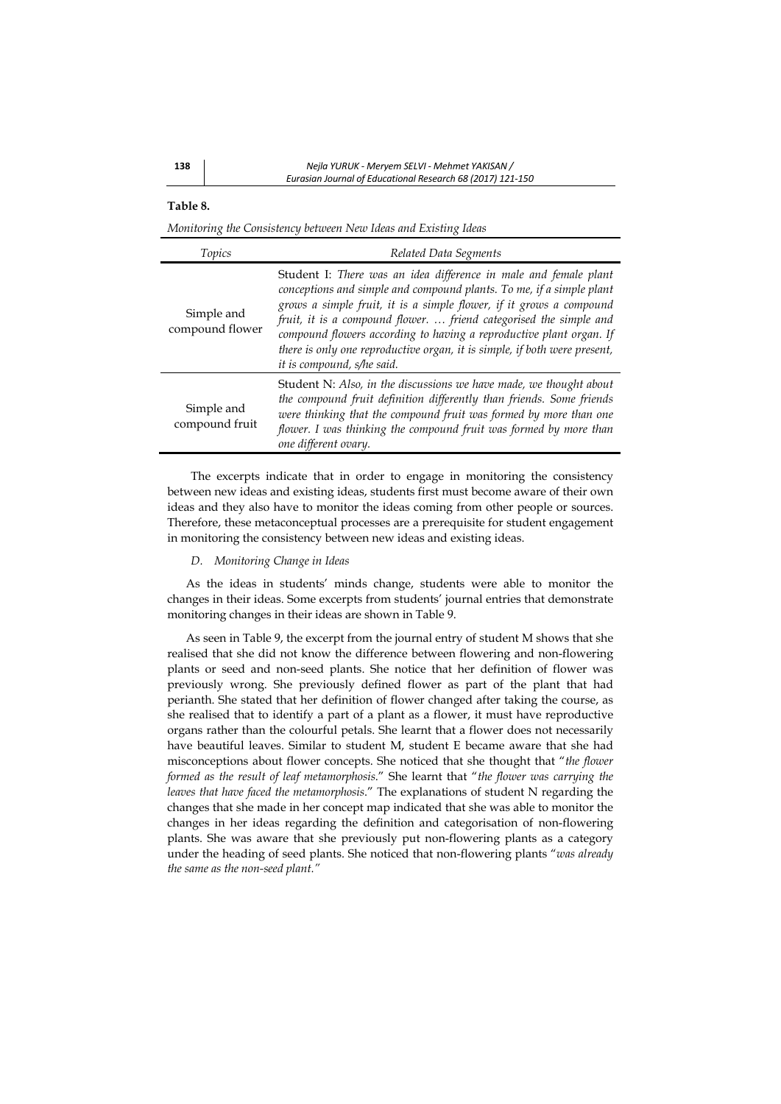### **Table 8.**

*Monitoring the Consistency between New Ideas and Existing Ideas* 

| Topics                        | Related Data Segments                                                                                                                                                                                                                                                                                                                                                                                                                                                   |
|-------------------------------|-------------------------------------------------------------------------------------------------------------------------------------------------------------------------------------------------------------------------------------------------------------------------------------------------------------------------------------------------------------------------------------------------------------------------------------------------------------------------|
| Simple and<br>compound flower | Student I: There was an idea difference in male and female plant<br>conceptions and simple and compound plants. To me, if a simple plant<br>grows a simple fruit, it is a simple flower, if it grows a compound<br>fruit, it is a compound flower.  friend categorised the simple and<br>compound flowers according to having a reproductive plant organ. If<br>there is only one reproductive organ, it is simple, if both were present,<br>it is compound, s/he said. |
| Simple and<br>compound fruit  | Student N: Also, in the discussions we have made, we thought about<br>the compound fruit definition differently than friends. Some friends<br>were thinking that the compound fruit was formed by more than one<br>flower. I was thinking the compound fruit was formed by more than<br>one different ovary.                                                                                                                                                            |

The excerpts indicate that in order to engage in monitoring the consistency between new ideas and existing ideas, students first must become aware of their own ideas and they also have to monitor the ideas coming from other people or sources. Therefore, these metaconceptual processes are a prerequisite for student engagement in monitoring the consistency between new ideas and existing ideas.

## *D. Monitoring Change in Ideas*

As the ideas in students' minds change, students were able to monitor the changes in their ideas. Some excerpts from students' journal entries that demonstrate monitoring changes in their ideas are shown in Table 9.

As seen in Table 9, the excerpt from the journal entry of student M shows that she realised that she did not know the difference between flowering and non-flowering plants or seed and non-seed plants. She notice that her definition of flower was previously wrong. She previously defined flower as part of the plant that had perianth. She stated that her definition of flower changed after taking the course, as she realised that to identify a part of a plant as a flower, it must have reproductive organs rather than the colourful petals. She learnt that a flower does not necessarily have beautiful leaves. Similar to student M, student E became aware that she had misconceptions about flower concepts. She noticed that she thought that "*the flower formed as the result of leaf metamorphosis*." She learnt that "*the flower was carrying the leaves that have faced the metamorphosis*." The explanations of student N regarding the changes that she made in her concept map indicated that she was able to monitor the changes in her ideas regarding the definition and categorisation of non-flowering plants. She was aware that she previously put non-flowering plants as a category under the heading of seed plants. She noticed that non-flowering plants "*was already the same as the non-seed plant."*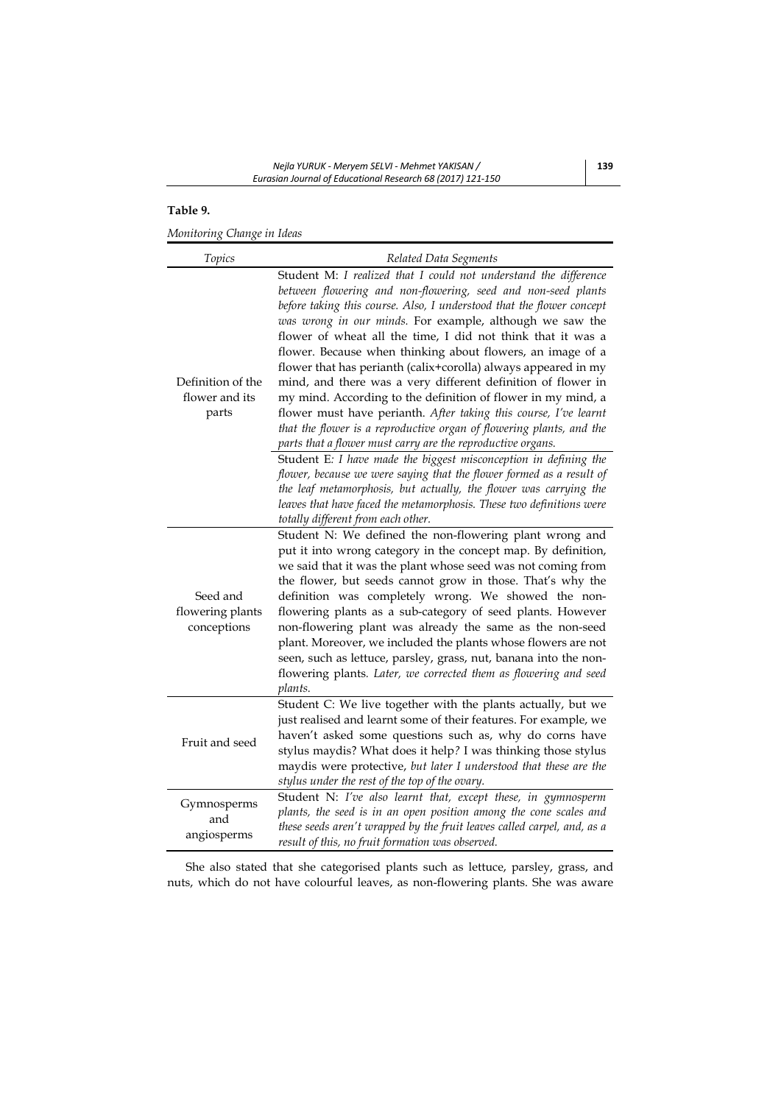# **Table 9.**

*Monitoring Change in Ideas* 

| Topics                                       | Related Data Segments                                                                                                                                                                                                                                                                                                                                                                                                                                                                                                                                                                                                                                                                                                                                                                                                                                                                                                                                                                                                                                                                                                                           |
|----------------------------------------------|-------------------------------------------------------------------------------------------------------------------------------------------------------------------------------------------------------------------------------------------------------------------------------------------------------------------------------------------------------------------------------------------------------------------------------------------------------------------------------------------------------------------------------------------------------------------------------------------------------------------------------------------------------------------------------------------------------------------------------------------------------------------------------------------------------------------------------------------------------------------------------------------------------------------------------------------------------------------------------------------------------------------------------------------------------------------------------------------------------------------------------------------------|
| Definition of the<br>flower and its<br>parts | Student M: I realized that I could not understand the difference<br>between flowering and non-flowering, seed and non-seed plants<br>before taking this course. Also, I understood that the flower concept<br>was wrong in our minds. For example, although we saw the<br>flower of wheat all the time, I did not think that it was a<br>flower. Because when thinking about flowers, an image of a<br>flower that has perianth (calix+corolla) always appeared in my<br>mind, and there was a very different definition of flower in<br>my mind. According to the definition of flower in my mind, a<br>flower must have perianth. After taking this course, I've learnt<br>that the flower is a reproductive organ of flowering plants, and the<br>parts that a flower must carry are the reproductive organs.<br>Student E: I have made the biggest misconception in defining the<br>flower, because we were saying that the flower formed as a result of<br>the leaf metamorphosis, but actually, the flower was carrying the<br>leaves that have faced the metamorphosis. These two definitions were<br>totally different from each other. |
| Seed and<br>flowering plants<br>conceptions  | Student N: We defined the non-flowering plant wrong and<br>put it into wrong category in the concept map. By definition,<br>we said that it was the plant whose seed was not coming from<br>the flower, but seeds cannot grow in those. That's why the<br>definition was completely wrong. We showed the non-<br>flowering plants as a sub-category of seed plants. However<br>non-flowering plant was already the same as the non-seed<br>plant. Moreover, we included the plants whose flowers are not<br>seen, such as lettuce, parsley, grass, nut, banana into the non-<br>flowering plants. Later, we corrected them as flowering and seed<br>plants.                                                                                                                                                                                                                                                                                                                                                                                                                                                                                     |
| Fruit and seed                               | Student C: We live together with the plants actually, but we<br>just realised and learnt some of their features. For example, we<br>haven't asked some questions such as, why do corns have<br>stylus maydis? What does it help? I was thinking those stylus<br>maydis were protective, but later I understood that these are the<br>stylus under the rest of the top of the ovary.                                                                                                                                                                                                                                                                                                                                                                                                                                                                                                                                                                                                                                                                                                                                                             |
| Gymnosperms<br>and<br>angiosperms            | Student N: I've also learnt that, except these, in gymnosperm<br>plants, the seed is in an open position among the cone scales and<br>these seeds aren't wrapped by the fruit leaves called carpel, and, as a<br>result of this, no fruit formation was observed.                                                                                                                                                                                                                                                                                                                                                                                                                                                                                                                                                                                                                                                                                                                                                                                                                                                                               |

She also stated that she categorised plants such as lettuce, parsley, grass, and nuts, which do not have colourful leaves, as non-flowering plants. She was aware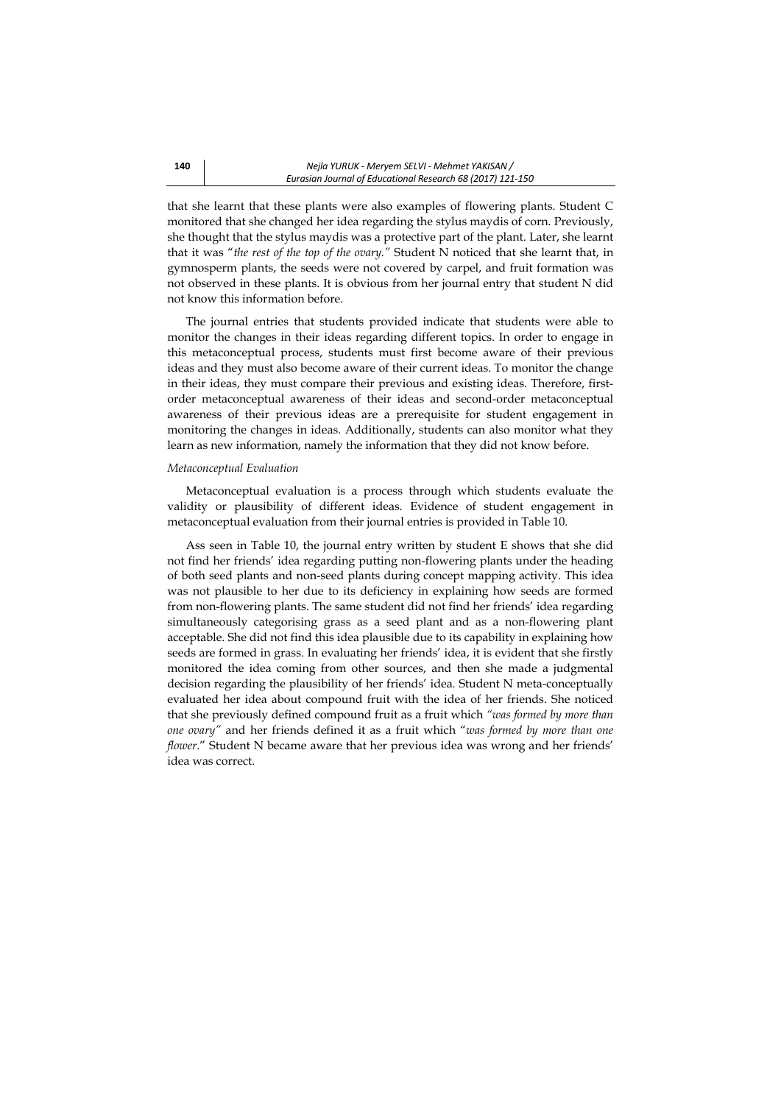that she learnt that these plants were also examples of flowering plants. Student C monitored that she changed her idea regarding the stylus maydis of corn. Previously, she thought that the stylus maydis was a protective part of the plant. Later, she learnt that it was "*the rest of the top of the ovary."* Student N noticed that she learnt that, in gymnosperm plants, the seeds were not covered by carpel, and fruit formation was not observed in these plants. It is obvious from her journal entry that student N did not know this information before.

The journal entries that students provided indicate that students were able to monitor the changes in their ideas regarding different topics. In order to engage in this metaconceptual process, students must first become aware of their previous ideas and they must also become aware of their current ideas. To monitor the change in their ideas, they must compare their previous and existing ideas. Therefore, firstorder metaconceptual awareness of their ideas and second-order metaconceptual awareness of their previous ideas are a prerequisite for student engagement in monitoring the changes in ideas. Additionally, students can also monitor what they learn as new information, namely the information that they did not know before.

### *Metaconceptual Evaluation*

Metaconceptual evaluation is a process through which students evaluate the validity or plausibility of different ideas. Evidence of student engagement in metaconceptual evaluation from their journal entries is provided in Table 10.

Ass seen in Table 10, the journal entry written by student E shows that she did not find her friends' idea regarding putting non-flowering plants under the heading of both seed plants and non-seed plants during concept mapping activity. This idea was not plausible to her due to its deficiency in explaining how seeds are formed from non-flowering plants. The same student did not find her friends' idea regarding simultaneously categorising grass as a seed plant and as a non-flowering plant acceptable. She did not find this idea plausible due to its capability in explaining how seeds are formed in grass. In evaluating her friends' idea, it is evident that she firstly monitored the idea coming from other sources, and then she made a judgmental decision regarding the plausibility of her friends' idea. Student N meta-conceptually evaluated her idea about compound fruit with the idea of her friends. She noticed that she previously defined compound fruit as a fruit which *"was formed by more than one ovary"* and her friends defined it as a fruit which "*was formed by more than one flower*." Student N became aware that her previous idea was wrong and her friends' idea was correct.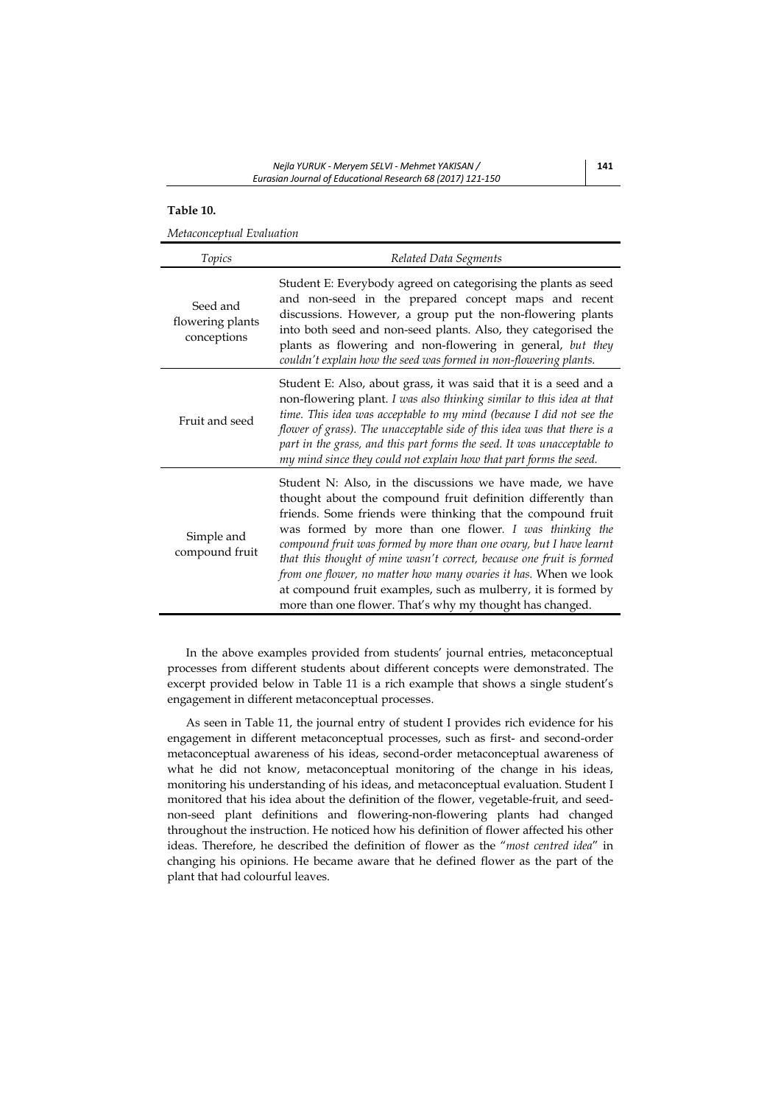# **Table 10.**

*Metaconceptual Evaluation* 

| Topics                                      | Related Data Segments                                                                                                                                                                                                                                                                                                                                                                                                                                                                                                                                                                               |
|---------------------------------------------|-----------------------------------------------------------------------------------------------------------------------------------------------------------------------------------------------------------------------------------------------------------------------------------------------------------------------------------------------------------------------------------------------------------------------------------------------------------------------------------------------------------------------------------------------------------------------------------------------------|
| Seed and<br>flowering plants<br>conceptions | Student E: Everybody agreed on categorising the plants as seed<br>and non-seed in the prepared concept maps and recent<br>discussions. However, a group put the non-flowering plants<br>into both seed and non-seed plants. Also, they categorised the<br>plants as flowering and non-flowering in general, but they<br>couldn't explain how the seed was formed in non-flowering plants.                                                                                                                                                                                                           |
| Fruit and seed                              | Student E: Also, about grass, it was said that it is a seed and a<br>non-flowering plant. I was also thinking similar to this idea at that<br>time. This idea was acceptable to my mind (because I did not see the<br>flower of grass). The unacceptable side of this idea was that there is a<br>part in the grass, and this part forms the seed. It was unacceptable to<br>my mind since they could not explain how that part forms the seed.                                                                                                                                                     |
| Simple and<br>compound fruit                | Student N: Also, in the discussions we have made, we have<br>thought about the compound fruit definition differently than<br>friends. Some friends were thinking that the compound fruit<br>was formed by more than one flower. I was thinking the<br>compound fruit was formed by more than one ovary, but I have learnt<br>that this thought of mine wasn't correct, because one fruit is formed<br>from one flower, no matter how many ovaries it has. When we look<br>at compound fruit examples, such as mulberry, it is formed by<br>more than one flower. That's why my thought has changed. |

In the above examples provided from students' journal entries, metaconceptual processes from different students about different concepts were demonstrated. The excerpt provided below in Table 11 is a rich example that shows a single student's engagement in different metaconceptual processes.

As seen in Table 11, the journal entry of student I provides rich evidence for his engagement in different metaconceptual processes, such as first- and second-order metaconceptual awareness of his ideas, second-order metaconceptual awareness of what he did not know, metaconceptual monitoring of the change in his ideas, monitoring his understanding of his ideas, and metaconceptual evaluation. Student I monitored that his idea about the definition of the flower, vegetable-fruit, and seednon-seed plant definitions and flowering-non-flowering plants had changed throughout the instruction. He noticed how his definition of flower affected his other ideas. Therefore, he described the definition of flower as the "*most centred idea*" in changing his opinions. He became aware that he defined flower as the part of the plant that had colourful leaves.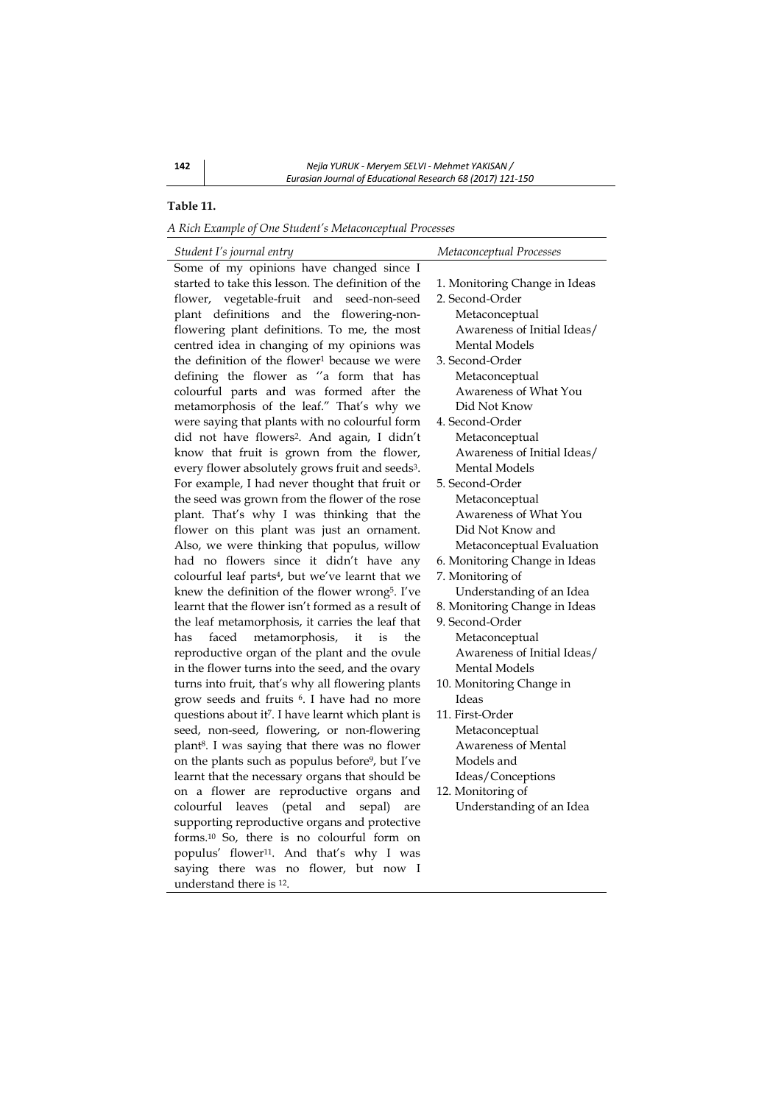# **Table 11.**

*A Rich Example of One Student's Metaconceptual Processes* 

| 1. Monitoring Change in Ideas |  |
|-------------------------------|--|
| 2. Second-Order               |  |
| Metaconceptual                |  |
| Awareness of Initial Ideas/   |  |
| <b>Mental Models</b>          |  |
| 3. Second-Order               |  |
| Metaconceptual                |  |
| Awareness of What You         |  |
| Did Not Know                  |  |
| 4. Second-Order               |  |
| Metaconceptual                |  |
| Awareness of Initial Ideas/   |  |
| Mental Models                 |  |
| 5. Second-Order               |  |
| Metaconceptual                |  |
| Awareness of What You         |  |
| Did Not Know and              |  |
| Metaconceptual Evaluation     |  |
| 6. Monitoring Change in Ideas |  |
| 7. Monitoring of              |  |
| Understanding of an Idea      |  |
| 8. Monitoring Change in Ideas |  |
| 9. Second-Order               |  |
| Metaconceptual                |  |
| Awareness of Initial Ideas/   |  |
| Mental Models                 |  |
| 10. Monitoring Change in      |  |
| Ideas                         |  |
| 11. First-Order               |  |
| Metaconceptual                |  |
| <b>Awareness of Mental</b>    |  |
| Models and                    |  |

dea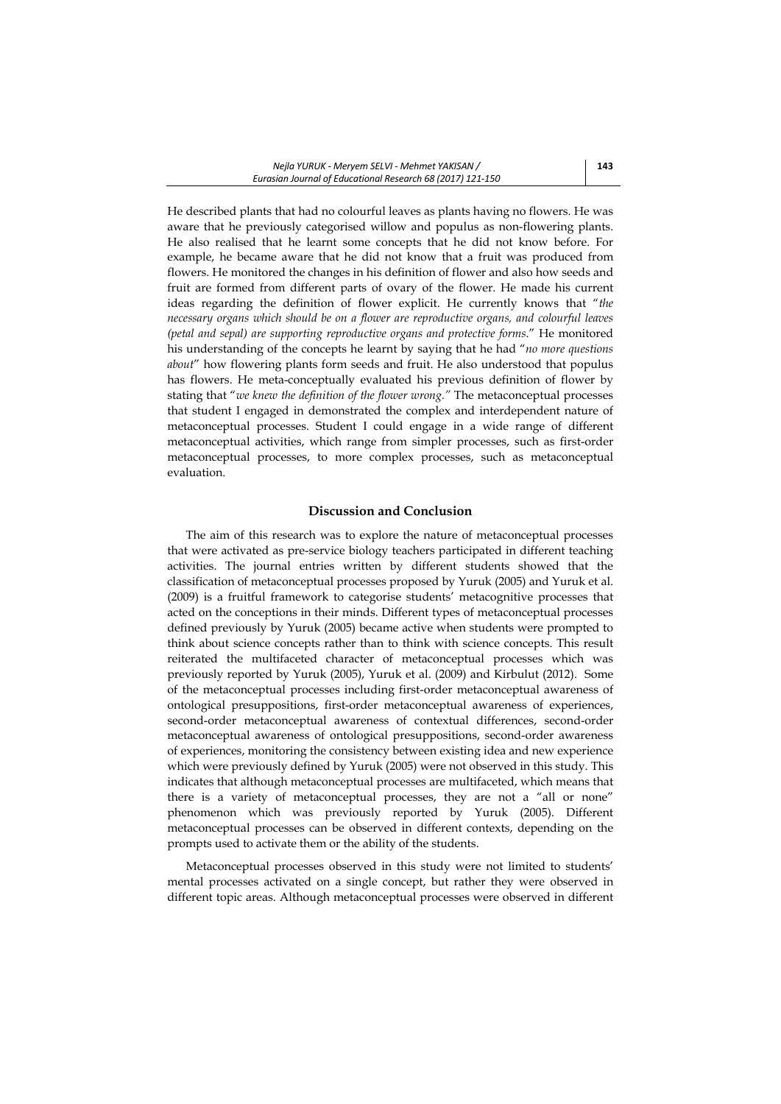He described plants that had no colourful leaves as plants having no flowers. He was aware that he previously categorised willow and populus as non-flowering plants. He also realised that he learnt some concepts that he did not know before. For example, he became aware that he did not know that a fruit was produced from flowers. He monitored the changes in his definition of flower and also how seeds and fruit are formed from different parts of ovary of the flower. He made his current ideas regarding the definition of flower explicit. He currently knows that "*the necessary organs which should be on a flower are reproductive organs, and colourful leaves (petal and sepal) are supporting reproductive organs and protective forms*." He monitored his understanding of the concepts he learnt by saying that he had "*no more questions about*" how flowering plants form seeds and fruit. He also understood that populus has flowers. He meta-conceptually evaluated his previous definition of flower by stating that "*we knew the definition of the flower wrong."* The metaconceptual processes that student I engaged in demonstrated the complex and interdependent nature of metaconceptual processes. Student I could engage in a wide range of different metaconceptual activities, which range from simpler processes, such as first-order metaconceptual processes, to more complex processes, such as metaconceptual evaluation.

# **Discussion and Conclusion**

The aim of this research was to explore the nature of metaconceptual processes that were activated as pre-service biology teachers participated in different teaching activities. The journal entries written by different students showed that the classification of metaconceptual processes proposed by Yuruk (2005) and Yuruk et al. (2009) is a fruitful framework to categorise students' metacognitive processes that acted on the conceptions in their minds. Different types of metaconceptual processes defined previously by Yuruk (2005) became active when students were prompted to think about science concepts rather than to think with science concepts. This result reiterated the multifaceted character of metaconceptual processes which was previously reported by Yuruk (2005), Yuruk et al. (2009) and Kirbulut (2012). Some of the metaconceptual processes including first-order metaconceptual awareness of ontological presuppositions, first-order metaconceptual awareness of experiences, second-order metaconceptual awareness of contextual differences, second-order metaconceptual awareness of ontological presuppositions, second-order awareness of experiences, monitoring the consistency between existing idea and new experience which were previously defined by Yuruk (2005) were not observed in this study. This indicates that although metaconceptual processes are multifaceted, which means that there is a variety of metaconceptual processes, they are not a "all or none" phenomenon which was previously reported by Yuruk (2005). Different metaconceptual processes can be observed in different contexts, depending on the prompts used to activate them or the ability of the students.

Metaconceptual processes observed in this study were not limited to students' mental processes activated on a single concept, but rather they were observed in different topic areas. Although metaconceptual processes were observed in different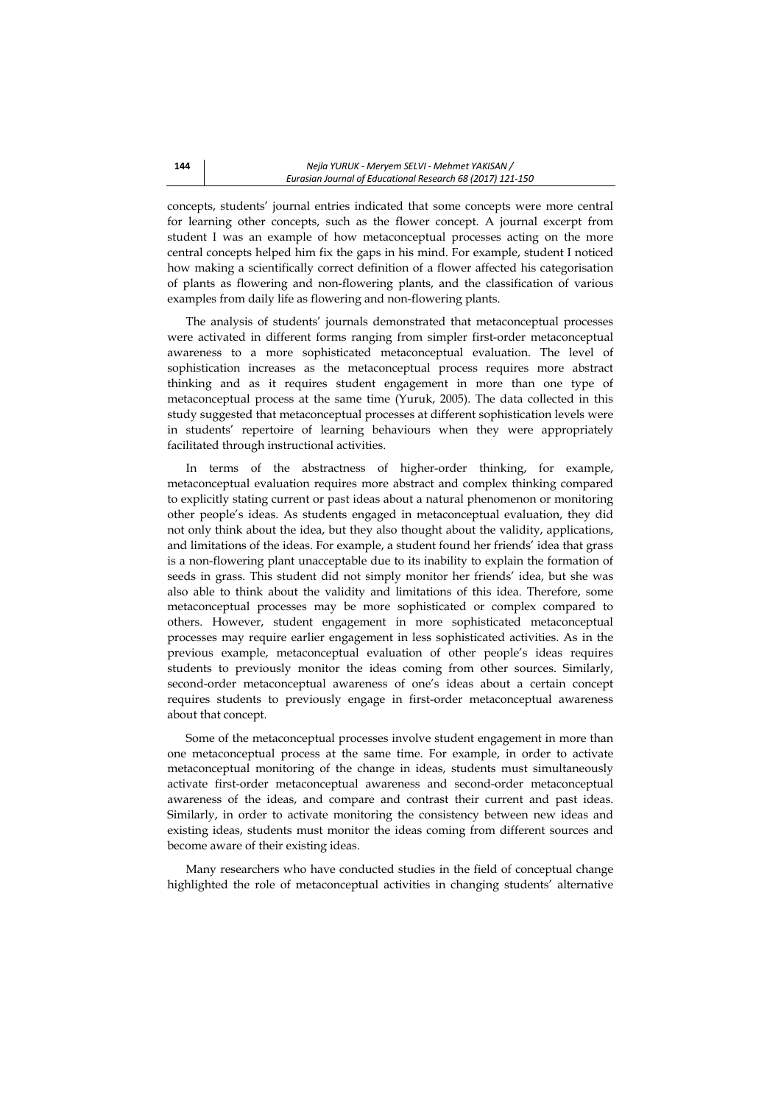concepts, students' journal entries indicated that some concepts were more central for learning other concepts, such as the flower concept. A journal excerpt from student I was an example of how metaconceptual processes acting on the more central concepts helped him fix the gaps in his mind. For example, student I noticed how making a scientifically correct definition of a flower affected his categorisation of plants as flowering and non-flowering plants, and the classification of various examples from daily life as flowering and non-flowering plants.

The analysis of students' journals demonstrated that metaconceptual processes were activated in different forms ranging from simpler first-order metaconceptual awareness to a more sophisticated metaconceptual evaluation. The level of sophistication increases as the metaconceptual process requires more abstract thinking and as it requires student engagement in more than one type of metaconceptual process at the same time (Yuruk, 2005). The data collected in this study suggested that metaconceptual processes at different sophistication levels were in students' repertoire of learning behaviours when they were appropriately facilitated through instructional activities.

In terms of the abstractness of higher-order thinking, for example, metaconceptual evaluation requires more abstract and complex thinking compared to explicitly stating current or past ideas about a natural phenomenon or monitoring other people's ideas. As students engaged in metaconceptual evaluation, they did not only think about the idea, but they also thought about the validity, applications, and limitations of the ideas. For example, a student found her friends' idea that grass is a non-flowering plant unacceptable due to its inability to explain the formation of seeds in grass. This student did not simply monitor her friends' idea, but she was also able to think about the validity and limitations of this idea. Therefore, some metaconceptual processes may be more sophisticated or complex compared to others. However, student engagement in more sophisticated metaconceptual processes may require earlier engagement in less sophisticated activities. As in the previous example, metaconceptual evaluation of other people's ideas requires students to previously monitor the ideas coming from other sources. Similarly, second-order metaconceptual awareness of one's ideas about a certain concept requires students to previously engage in first-order metaconceptual awareness about that concept.

Some of the metaconceptual processes involve student engagement in more than one metaconceptual process at the same time. For example, in order to activate metaconceptual monitoring of the change in ideas, students must simultaneously activate first-order metaconceptual awareness and second-order metaconceptual awareness of the ideas, and compare and contrast their current and past ideas. Similarly, in order to activate monitoring the consistency between new ideas and existing ideas, students must monitor the ideas coming from different sources and become aware of their existing ideas.

Many researchers who have conducted studies in the field of conceptual change highlighted the role of metaconceptual activities in changing students' alternative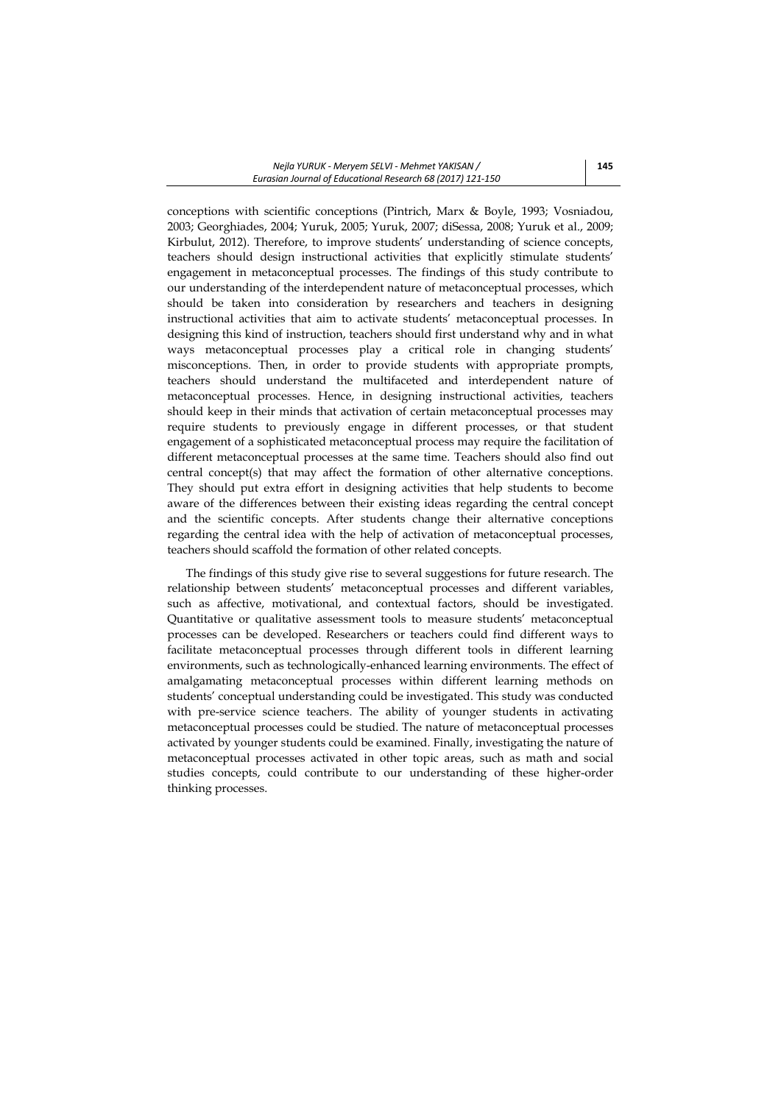conceptions with scientific conceptions (Pintrich, Marx & Boyle, 1993; Vosniadou, 2003; Georghiades, 2004; Yuruk, 2005; Yuruk, 2007; diSessa, 2008; Yuruk et al., 2009; Kirbulut, 2012). Therefore, to improve students' understanding of science concepts, teachers should design instructional activities that explicitly stimulate students' engagement in metaconceptual processes. The findings of this study contribute to our understanding of the interdependent nature of metaconceptual processes, which should be taken into consideration by researchers and teachers in designing instructional activities that aim to activate students' metaconceptual processes. In designing this kind of instruction, teachers should first understand why and in what ways metaconceptual processes play a critical role in changing students' misconceptions. Then, in order to provide students with appropriate prompts, teachers should understand the multifaceted and interdependent nature of metaconceptual processes. Hence, in designing instructional activities, teachers should keep in their minds that activation of certain metaconceptual processes may require students to previously engage in different processes, or that student engagement of a sophisticated metaconceptual process may require the facilitation of different metaconceptual processes at the same time. Teachers should also find out central concept(s) that may affect the formation of other alternative conceptions. They should put extra effort in designing activities that help students to become aware of the differences between their existing ideas regarding the central concept and the scientific concepts. After students change their alternative conceptions regarding the central idea with the help of activation of metaconceptual processes, teachers should scaffold the formation of other related concepts.

The findings of this study give rise to several suggestions for future research. The relationship between students' metaconceptual processes and different variables, such as affective, motivational, and contextual factors, should be investigated. Quantitative or qualitative assessment tools to measure students' metaconceptual processes can be developed. Researchers or teachers could find different ways to facilitate metaconceptual processes through different tools in different learning environments, such as technologically-enhanced learning environments. The effect of amalgamating metaconceptual processes within different learning methods on students' conceptual understanding could be investigated. This study was conducted with pre-service science teachers. The ability of younger students in activating metaconceptual processes could be studied. The nature of metaconceptual processes activated by younger students could be examined. Finally, investigating the nature of metaconceptual processes activated in other topic areas, such as math and social studies concepts, could contribute to our understanding of these higher-order thinking processes.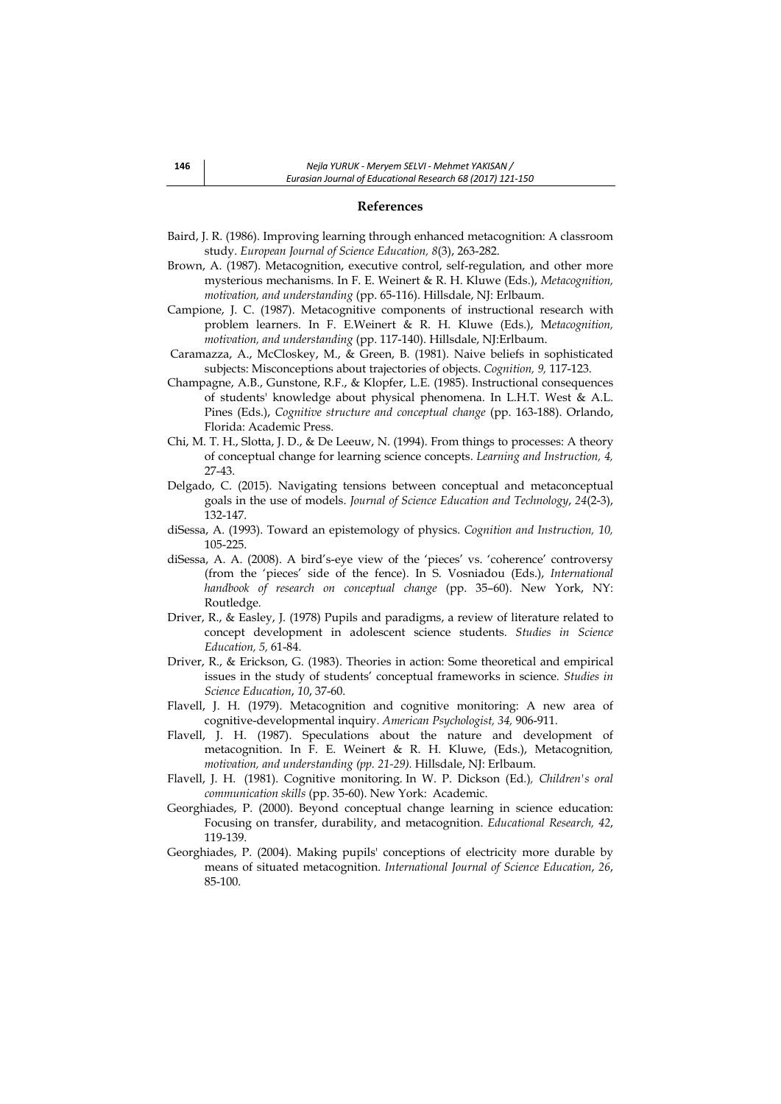# **References**

- Baird, J. R. (1986). Improving learning through enhanced metacognition: A classroom study. *European Journal of Science Education, 8*(3), 263-282.
- Brown, A. (1987). Metacognition, executive control, self-regulation, and other more mysterious mechanisms. In F. E. Weinert & R. H. Kluwe (Eds.), *Metacognition, motivation, and understanding* (pp. 65-116). Hillsdale, NJ: Erlbaum.
- Campione, J. C. (1987). Metacognitive components of instructional research with problem learners. In F. E.Weinert & R. H. Kluwe (Eds.), M*etacognition, motivation, and understanding* (pp. 117-140). Hillsdale, NJ:Erlbaum.
- Caramazza, A., McCloskey, M., & Green, B. (1981). Naive beliefs in sophisticated subjects: Misconceptions about trajectories of objects. *Cognition, 9,* 117-123.
- Champagne, A.B., Gunstone, R.F., & Klopfer, L.E. (1985). Instructional consequences of students' knowledge about physical phenomena. In L.H.T. West & A.L. Pines (Eds.), *Cognitive structure and conceptual change* (pp. 163-188). Orlando, Florida: Academic Press.
- Chi, M. T. H., Slotta, J. D., & De Leeuw, N. (1994). From things to processes: A theory of conceptual change for learning science concepts. *Learning and Instruction, 4,*  27-43.
- Delgado, C. (2015). Navigating tensions between conceptual and metaconceptual goals in the use of models. *Journal of Science Education and Technology*, *24*(2-3), 132-147.
- diSessa, A. (1993). Toward an epistemology of physics. *Cognition and Instruction, 10,*  105-225.
- diSessa, A. A. (2008). A bird's-eye view of the 'pieces' vs. 'coherence' controversy (from the 'pieces' side of the fence). In S. Vosniadou (Eds.), *International handbook of research on conceptual change* (pp. 35–60). New York, NY: Routledge.
- Driver, R., & Easley, J. (1978) Pupils and paradigms, a review of literature related to concept development in adolescent science students. *Studies in Science Education, 5,* 61-84.
- Driver, R., & Erickson, G. (1983). Theories in action: Some theoretical and empirical issues in the study of students' conceptual frameworks in science*. Studies in Science Education*, *10*, 37-60.
- Flavell, J. H. (1979). Metacognition and cognitive monitoring: A new area of cognitive-developmental inquiry. *American Psychologist, 34,* 906-911.
- Flavell, J. H. (1987). Speculations about the nature and development of metacognition. In F. E. Weinert & R. H. Kluwe, (Eds.), Metacognition*, motivation, and understanding (pp. 21-29).* Hillsdale, NJ: Erlbaum.
- Flavell, J. H. (1981). Cognitive monitoring. In W. P. Dickson (Ed*.*)*, Children's oral communication skills* (pp. 35-60). New York: Academic.
- Georghiades, P. (2000). Beyond conceptual change learning in science education: Focusing on transfer, durability, and metacognition. *Educational Research, 42*, 119-139.
- Georghiades, P. (2004). Making pupils' conceptions of electricity more durable by means of situated metacognition. *International Journal of Science Education*, *26*, 85-100.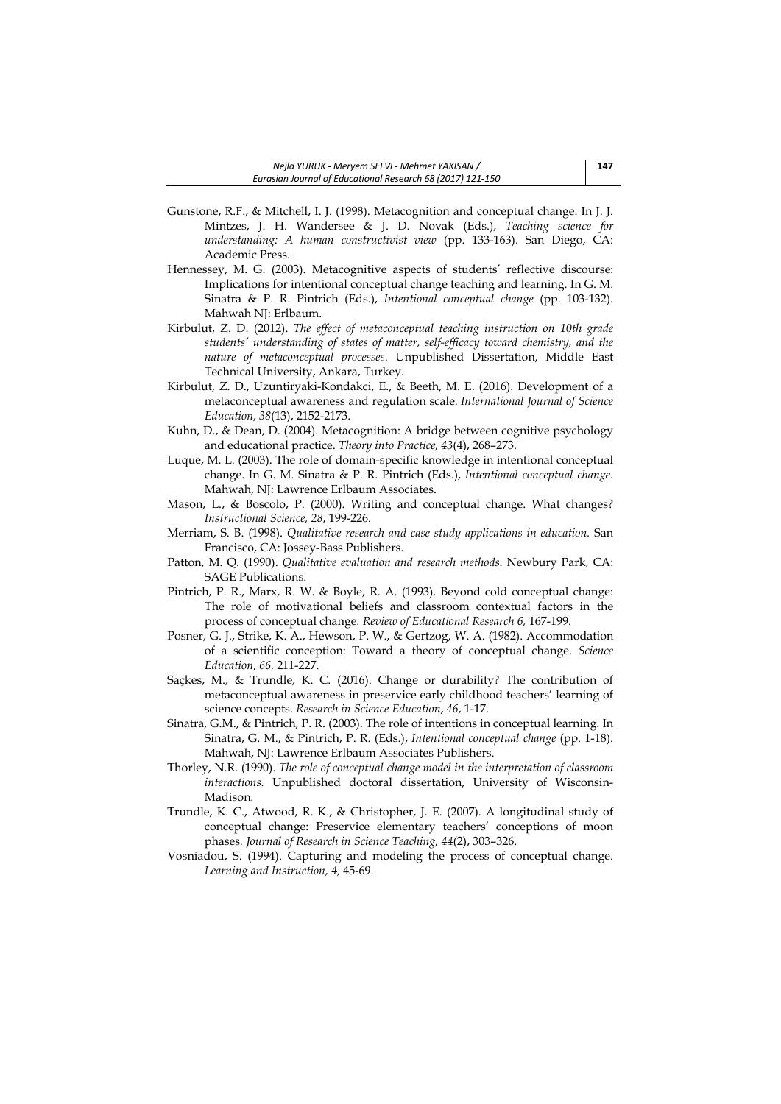- Gunstone, R.F., & Mitchell, I. J. (1998). Metacognition and conceptual change. In J. J. Mintzes, J. H. Wandersee & J. D. Novak (Eds.), *Teaching science for understanding: A human constructivist view* (pp. 133-163). San Diego, CA: Academic Press.
- Hennessey, M. G. (2003). Metacognitive aspects of students' reflective discourse: Implications for intentional conceptual change teaching and learning. In G. M. Sinatra & P. R. Pintrich (Eds.), *Intentional conceptual change* (pp. 103-132). Mahwah NJ: Erlbaum.
- Kirbulut, Z. D. (2012). *The effect of metaconceptual teaching instruction on 10th grade students' understanding of states of matter, self-efficacy toward chemistry, and the nature of metaconceptual processes*. Unpublished Dissertation, Middle East Technical University, Ankara, Turkey.
- Kirbulut, Z. D., Uzuntiryaki-Kondakci, E., & Beeth, M. E. (2016). Development of a metaconceptual awareness and regulation scale. *International Journal of Science Education*, *38*(13), 2152-2173.
- Kuhn, D., & Dean, D. (2004). Metacognition: A bridge between cognitive psychology and educational practice. *Theory into Practice, 43*(4), 268–273.
- Luque, M. L. (2003). The role of domain-specific knowledge in intentional conceptual change. In G. M. Sinatra & P. R. Pintrich (Eds.), *Intentional conceptual change*. Mahwah, NJ: Lawrence Erlbaum Associates.
- Mason, L., & Boscolo, P. (2000). Writing and conceptual change. What changes? *Instructional Science, 28*, 199-226.
- Merriam, S. B. (1998). *Qualitative research and case study applications in education.* San Francisco, CA: Jossey-Bass Publishers.
- Patton, M. Q. (1990). *Qualitative evaluation and research methods*. Newbury Park, CA: SAGE Publications.
- Pintrich, P. R., Marx, R. W. & Boyle, R. A. (1993). Beyond cold conceptual change: The role of motivational beliefs and classroom contextual factors in the process of conceptual change*. Review of Educational Research 6,* 167-199.
- Posner, G. J., Strike, K. A., Hewson, P. W., & Gertzog, W. A. (1982). Accommodation of a scientific conception: Toward a theory of conceptual change. *Science Education*, *66*, 211-227.
- Saçkes, M., & Trundle, K. C. (2016). Change or durability? The contribution of metaconceptual awareness in preservice early childhood teachers' learning of science concepts. *Research in Science Education*, *46*, 1-17.
- Sinatra, G.M., & Pintrich, P. R. (2003). The role of intentions in conceptual learning. In Sinatra, G. M., & Pintrich, P. R. (Eds.), *Intentional conceptual change* (pp. 1-18). Mahwah, NJ: Lawrence Erlbaum Associates Publishers.
- Thorley, N.R. (1990). *The role of conceptual change model in the interpretation of classroom interactions.* Unpublished doctoral dissertation, University of Wisconsin-Madison.
- Trundle, K. C., Atwood, R. K., & Christopher, J. E. (2007). A longitudinal study of conceptual change: Preservice elementary teachers' conceptions of moon phases*. Journal of Research in Science Teaching, 44*(2), 303–326.
- Vosniadou, S. (1994). Capturing and modeling the process of conceptual change. *Learning and Instruction, 4,* 45-69.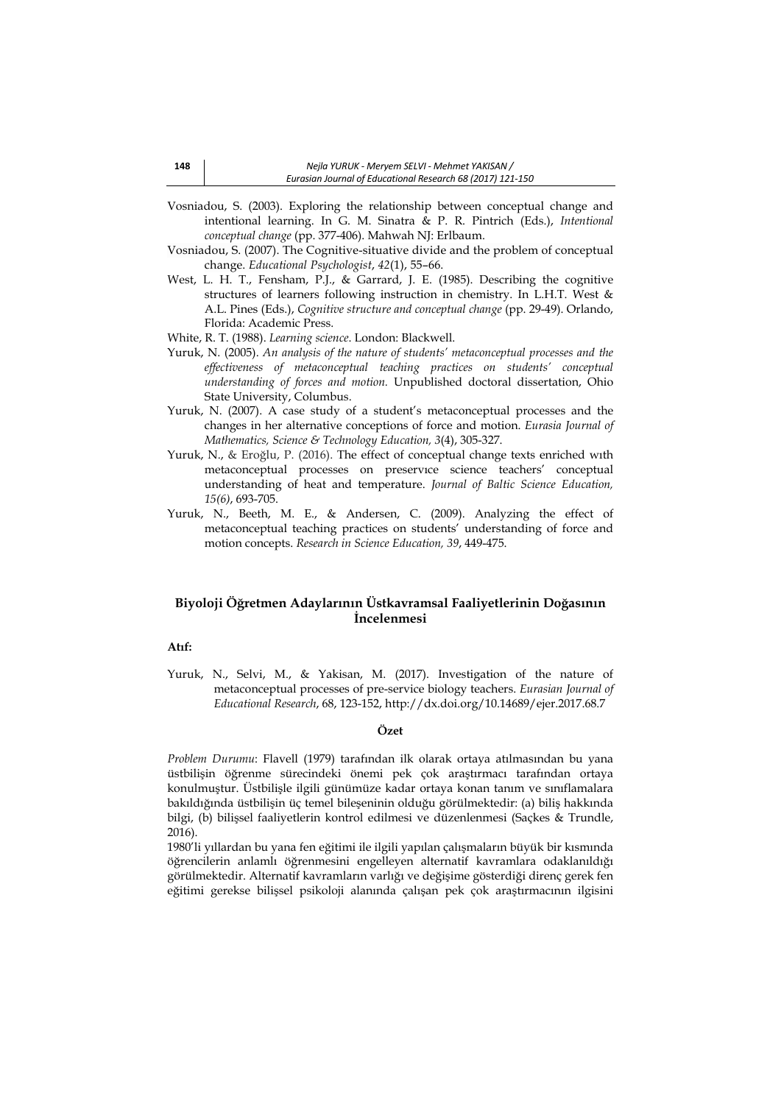- Vosniadou, S. (2003). Exploring the relationship between conceptual change and intentional learning. In G. M. Sinatra & P. R. Pintrich (Eds.), *Intentional conceptual change* (pp. 377-406). Mahwah NJ: Erlbaum.
- Vosniadou, S. (2007). The Cognitive-situative divide and the problem of conceptual change. *Educational Psychologist*, *42*(1), 55–66.
- West, L. H. T., Fensham, P.J., & Garrard, J. E. (1985). Describing the cognitive structures of learners following instruction in chemistry. In L.H.T. West & A.L. Pines (Eds.), *Cognitive structure and conceptual change* (pp. 29-49). Orlando, Florida: Academic Press.
- White, R. T. (1988). *Learning science*. London: Blackwell.
- Yuruk, N. (2005). *An analysis of the nature of students' metaconceptual processes and the effectiveness of metaconceptual teaching practices on students' conceptual understanding of forces and motion.* Unpublished doctoral dissertation, Ohio State University, Columbus.
- Yuruk, N. (2007). A case study of a student's metaconceptual processes and the changes in her alternative conceptions of force and motion. *Eurasia Journal of Mathematics, Science & Technology Education, 3*(4), 305-327.
- Yuruk, N., & Eroğlu, P. (2016). The effect of conceptual change texts enriched wıth metaconceptual processes on preservıce science teachers' conceptual understanding of heat and temperature. *Journal of Baltic Science Education, 15(6)*, 693-705.
- Yuruk, N., Beeth, M. E., & Andersen, C. (2009). Analyzing the effect of metaconceptual teaching practices on students' understanding of force and motion concepts. *Research in Science Education, 39*, 449-475.

# **Biyoloji Öğretmen Adaylarının Üstkavramsal Faaliyetlerinin Doğasının İncelenmesi**

## **Atıf:**

Yuruk, N., Selvi, M., & Yakisan, M. (2017). Investigation of the nature of metaconceptual processes of pre-service biology teachers. *Eurasian Journal of Educational Research*, 68, 123-152, http://dx.doi.org/10.14689/ejer.2017.68.7

#### **Özet**

*Problem Durumu*: Flavell (1979) tarafından ilk olarak ortaya atılmasından bu yana üstbilişin öğrenme sürecindeki önemi pek çok araştırmacı tarafından ortaya konulmuştur. Üstbilişle ilgili günümüze kadar ortaya konan tanım ve sınıflamalara bakıldığında üstbilişin üç temel bileşeninin olduğu görülmektedir: (a) biliş hakkında bilgi, (b) bilişsel faaliyetlerin kontrol edilmesi ve düzenlenmesi (Saçkes & Trundle, 2016).

1980'li yıllardan bu yana fen eğitimi ile ilgili yapılan çalışmaların büyük bir kısmında öğrencilerin anlamlı öğrenmesini engelleyen alternatif kavramlara odaklanıldığı görülmektedir. Alternatif kavramların varlığı ve değişime gösterdiği direnç gerek fen eğitimi gerekse bilişsel psikoloji alanında çalışan pek çok araştırmacının ilgisini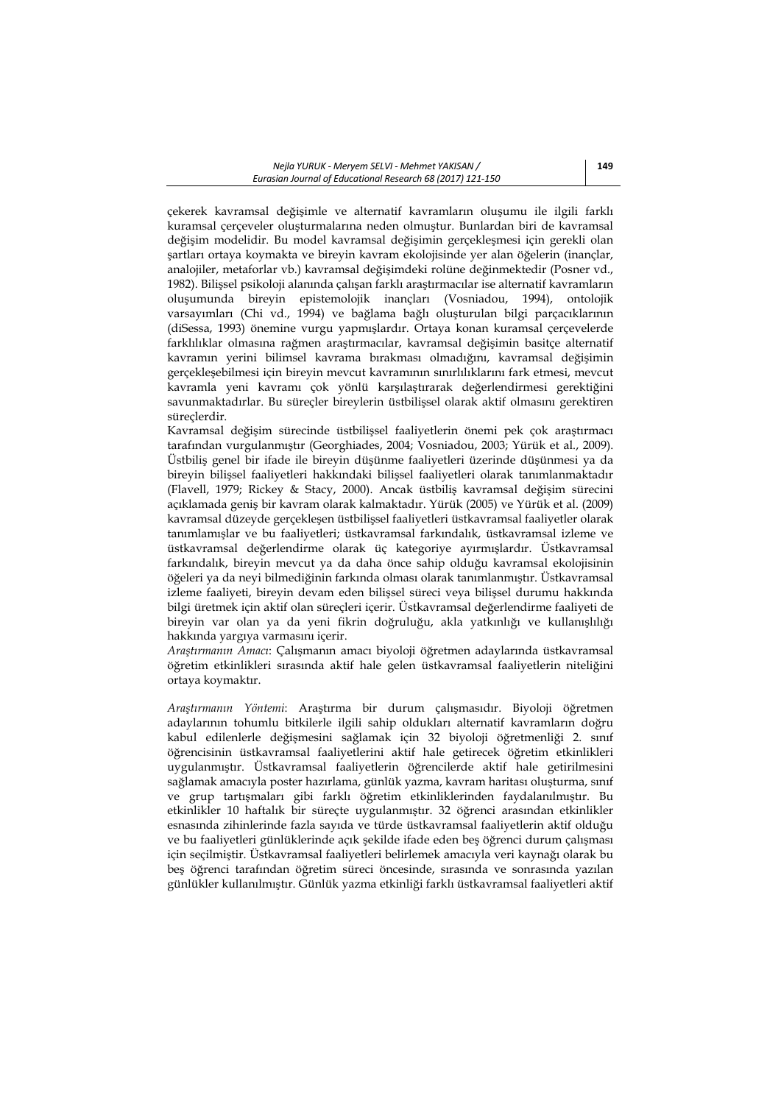çekerek kavramsal değişimle ve alternatif kavramların oluşumu ile ilgili farklı kuramsal çerçeveler oluşturmalarına neden olmuştur. Bunlardan biri de kavramsal değişim modelidir. Bu model kavramsal değişimin gerçekleşmesi için gerekli olan şartları ortaya koymakta ve bireyin kavram ekolojisinde yer alan öğelerin (inançlar, analojiler, metaforlar vb.) kavramsal değişimdeki rolüne değinmektedir (Posner vd., 1982). Bilişsel psikoloji alanında çalışan farklı araştırmacılar ise alternatif kavramların oluşumunda bireyin epistemolojik inançları (Vosniadou, 1994), ontolojik varsayımları (Chi vd., 1994) ve bağlama bağlı oluşturulan bilgi parçacıklarının (diSessa, 1993) önemine vurgu yapmışlardır. Ortaya konan kuramsal çerçevelerde farklılıklar olmasına rağmen araştırmacılar, kavramsal değişimin basitçe alternatif kavramın yerini bilimsel kavrama bırakması olmadığını, kavramsal değişimin gerçekleşebilmesi için bireyin mevcut kavramının sınırlılıklarını fark etmesi, mevcut kavramla yeni kavramı çok yönlü karşılaştırarak değerlendirmesi gerektiğini savunmaktadırlar. Bu süreçler bireylerin üstbilişsel olarak aktif olmasını gerektiren süreçlerdir.

Kavramsal değişim sürecinde üstbilişsel faaliyetlerin önemi pek çok araştırmacı tarafından vurgulanmıştır (Georghiades, 2004; Vosniadou, 2003; Yürük et al., 2009). Üstbiliş genel bir ifade ile bireyin düşünme faaliyetleri üzerinde düşünmesi ya da bireyin bilişsel faaliyetleri hakkındaki bilişsel faaliyetleri olarak tanımlanmaktadır (Flavell, 1979; Rickey & Stacy, 2000). Ancak üstbiliş kavramsal değişim sürecini açıklamada geniş bir kavram olarak kalmaktadır. Yürük (2005) ve Yürük et al. (2009) kavramsal düzeyde gerçekleşen üstbilişsel faaliyetleri üstkavramsal faaliyetler olarak tanımlamışlar ve bu faaliyetleri; üstkavramsal farkındalık, üstkavramsal izleme ve üstkavramsal değerlendirme olarak üç kategoriye ayırmışlardır. Üstkavramsal farkındalık, bireyin mevcut ya da daha önce sahip olduğu kavramsal ekolojisinin öğeleri ya da neyi bilmediğinin farkında olması olarak tanımlanmıştır. Üstkavramsal izleme faaliyeti, bireyin devam eden bilişsel süreci veya bilişsel durumu hakkında bilgi üretmek için aktif olan süreçleri içerir. Üstkavramsal değerlendirme faaliyeti de bireyin var olan ya da yeni fikrin doğruluğu, akla yatkınlığı ve kullanışlılığı hakkında yargıya varmasını içerir.

*Araştırmanın Amacı*: Çalışmanın amacı biyoloji öğretmen adaylarında üstkavramsal öğretim etkinlikleri sırasında aktif hale gelen üstkavramsal faaliyetlerin niteliğini ortaya koymaktır.

*Araştırmanın Yöntemi*: Araştırma bir durum çalışmasıdır. Biyoloji öğretmen adaylarının tohumlu bitkilerle ilgili sahip oldukları alternatif kavramların doğru kabul edilenlerle değişmesini sağlamak için 32 biyoloji öğretmenliği 2. sınıf öğrencisinin üstkavramsal faaliyetlerini aktif hale getirecek öğretim etkinlikleri uygulanmıştır. Üstkavramsal faaliyetlerin öğrencilerde aktif hale getirilmesini sağlamak amacıyla poster hazırlama, günlük yazma, kavram haritası oluşturma, sınıf ve grup tartışmaları gibi farklı öğretim etkinliklerinden faydalanılmıştır. Bu etkinlikler 10 haftalık bir süreçte uygulanmıştır. 32 öğrenci arasından etkinlikler esnasında zihinlerinde fazla sayıda ve türde üstkavramsal faaliyetlerin aktif olduğu ve bu faaliyetleri günlüklerinde açık şekilde ifade eden beş öğrenci durum çalışması için seçilmiştir. Üstkavramsal faaliyetleri belirlemek amacıyla veri kaynağı olarak bu beş öğrenci tarafından öğretim süreci öncesinde, sırasında ve sonrasında yazılan günlükler kullanılmıştır. Günlük yazma etkinliği farklı üstkavramsal faaliyetleri aktif